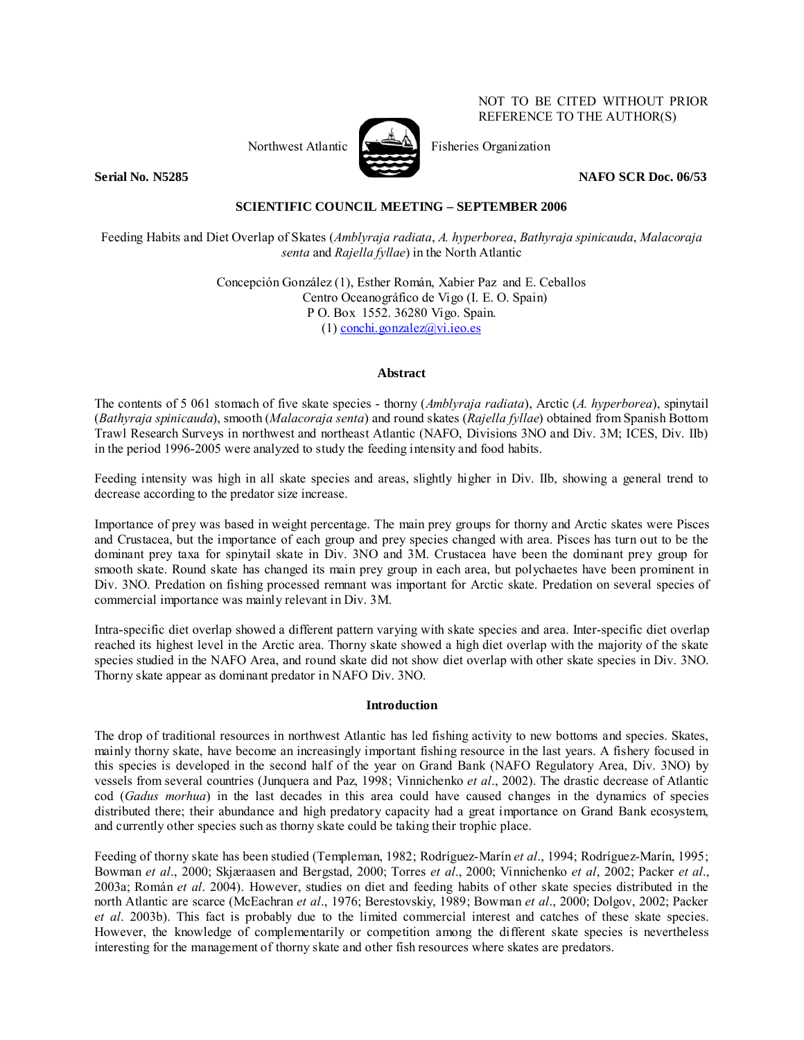

NOT TO BE CITED WITHOUT PRIOR REFERENCE TO THE AUTHOR(S)

Northwest Atlantic  $\mathbb{R}$  Fisheries Organization

**Serial No. N5285 NAFO SCR Doc. 06/53** 

# **SCIENTIFIC COUNCIL MEETING – SEPTEMBER 2006**

Feeding Habits and Diet Overlap of Skates (*Amblyraja radiata*, *A. hyperborea*, *Bathyraja spinicauda*, *Malacoraja senta* and *Rajella fyllae*) in the North Atlantic

> Concepción González (1), Esther Román, Xabier Paz and E. Ceballos Centro Oceanográfico de Vigo (I. E. O. Spain) P O. Box 1552. 36280 Vigo. Spain. (1) conchi.gonzalez@vi.ieo.es

# **Abstract**

The contents of 5 061 stomach of five skate species - thorny (*Amblyraja radiata*), Arctic (*A. hyperborea*), spinytail (*Bathyraja spinicauda*), smooth (*Malacoraja senta*) and round skates (*Rajella fyllae*) obtained from Spanish Bottom Trawl Research Surveys in northwest and northeast Atlantic (NAFO, Divisions 3NO and Div. 3M; ICES, Div. IIb) in the period 1996-2005 were analyzed to study the feeding intensity and food habits.

Feeding intensity was high in all skate species and areas, slightly higher in Div. IIb, showing a general trend to decrease according to the predator size increase.

Importance of prey was based in weight percentage. The main prey groups for thorny and Arctic skates were Pisces and Crustacea, but the importance of each group and prey species changed with area. Pisces has turn out to be the dominant prey taxa for spinytail skate in Div. 3NO and 3M. Crustacea have been the dominant prey group for smooth skate. Round skate has changed its main prey group in each area, but polychaetes have been prominent in Div. 3NO. Predation on fishing processed remnant was important for Arctic skate. Predation on several species of commercial importance was mainly relevant in Div. 3M.

Intra-specific diet overlap showed a different pattern varying with skate species and area. Inter-specific diet overlap reached its highest level in the Arctic area. Thorny skate showed a high diet overlap with the majority of the skate species studied in the NAFO Area, and round skate did not show diet overlap with other skate species in Div. 3NO. Thorny skate appear as dominant predator in NAFO Div. 3NO.

### **Introduction**

The drop of traditional resources in northwest Atlantic has led fishing activity to new bottoms and species. Skates, mainly thorny skate, have become an increasingly important fishing resource in the last years. A fishery focused in this species is developed in the second half of the year on Grand Bank (NAFO Regulatory Area, Div. 3NO) by vessels from several countries (Junquera and Paz, 1998; Vinnichenko *et al*., 2002). The drastic decrease of Atlantic cod (*Gadus morhua*) in the last decades in this area could have caused changes in the dynamics of species distributed there; their abundance and high predatory capacity had a great importance on Grand Bank ecosystem, and currently other species such as thorny skate could be taking their trophic place.

Feeding of thorny skate has been studied (Templeman, 1982; Rodríguez-Marín *et al*., 1994; Rodríguez-Marín, 1995; Bowman *et al*., 2000; Skjæraasen and Bergstad, 2000; Torres *et al*., 2000; Vinnichenko *et al*, 2002; Packer *et al*., 2003a; Román *et al*. 2004). However, studies on diet and feeding habits of other skate species distributed in the north Atlantic are scarce (McEachran *et al*., 1976; Berestovskiy, 1989; Bowman *et al*., 2000; Dolgov, 2002; Packer *et al*. 2003b). This fact is probably due to the limited commercial interest and catches of these skate species. However, the knowledge of complementarily or competition among the different skate species is nevertheless interesting for the management of thorny skate and other fish resources where skates are predators.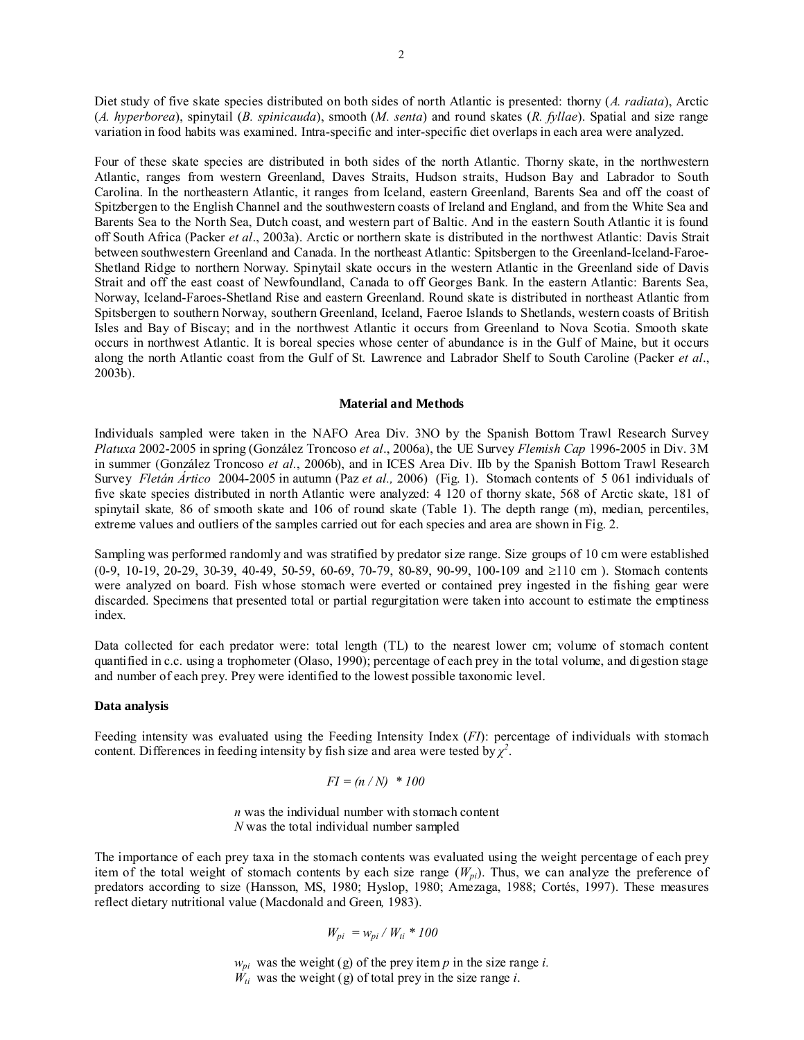Diet study of five skate species distributed on both sides of north Atlantic is presented: thorny (*A. radiata*), Arctic (*A. hyperborea*), spinytail (*B. spinicauda*), smooth (*M. senta*) and round skates (*R. fyllae*). Spatial and size range variation in food habits was examined. Intra-specific and inter-specific diet overlaps in each area were analyzed.

Four of these skate species are distributed in both sides of the north Atlantic. Thorny skate, in the northwestern Atlantic, ranges from western Greenland, Daves Straits, Hudson straits, Hudson Bay and Labrador to South Carolina. In the northeastern Atlantic, it ranges from Iceland, eastern Greenland, Barents Sea and off the coast of Spitzbergen to the English Channel and the southwestern coasts of Ireland and England, and from the White Sea and Barents Sea to the North Sea, Dutch coast, and western part of Baltic. And in the eastern South Atlantic it is found off South Africa (Packer *et al*., 2003a). Arctic or northern skate is distributed in the northwest Atlantic: Davis Strait between southwestern Greenland and Canada. In the northeast Atlantic: Spitsbergen to the Greenland-Iceland-Faroe-Shetland Ridge to northern Norway. Spinytail skate occurs in the western Atlantic in the Greenland side of Davis Strait and off the east coast of Newfoundland, Canada to off Georges Bank. In the eastern Atlantic: Barents Sea, Norway, Iceland-Faroes-Shetland Rise and eastern Greenland. Round skate is distributed in northeast Atlantic from Spitsbergen to southern Norway, southern Greenland, Iceland, Faeroe Islands to Shetlands, western coasts of British Isles and Bay of Biscay; and in the northwest Atlantic it occurs from Greenland to Nova Scotia. Smooth skate occurs in northwest Atlantic. It is boreal species whose center of abundance is in the Gulf of Maine, but it occurs along the north Atlantic coast from the Gulf of St. Lawrence and Labrador Shelf to South Caroline (Packer *et al*., 2003b).

### **Material and Methods**

Individuals sampled were taken in the NAFO Area Div. 3NO by the Spanish Bottom Trawl Research Survey *Platuxa* 2002-2005 in spring (González Troncoso *et al*., 2006a), the UE Survey *Flemish Cap* 1996-2005 in Div. 3M in summer (González Troncoso *et al.*, 2006b), and in ICES Area Div. IIb by the Spanish Bottom Trawl Research Survey *Fletán Ártico* 2004-2005 in autumn (Paz *et al.,* 2006) (Fig. 1). Stomach contents of 5 061 individuals of five skate species distributed in north Atlantic were analyzed: 4 120 of thorny skate, 568 of Arctic skate, 181 of spinytail skate*,* 86 of smooth skate and 106 of round skate (Table 1). The depth range (m), median, percentiles, extreme values and outliers of the samples carried out for each species and area are shown in Fig. 2.

Sampling was performed randomly and was stratified by predator size range. Size groups of 10 cm were established (0-9, 10-19, 20-29, 30-39, 40-49, 50-59, 60-69, 70-79, 80-89, 90-99, 100-109 and ≥110 cm ). Stomach contents were analyzed on board. Fish whose stomach were everted or contained prey ingested in the fishing gear were discarded. Specimens that presented total or partial regurgitation were taken into account to estimate the emptiness index.

Data collected for each predator were: total length (TL) to the nearest lower cm; volume of stomach content quantified in c.c. using a trophometer (Olaso, 1990); percentage of each prey in the total volume, and digestion stage and number of each prey. Prey were identified to the lowest possible taxonomic level.

#### **Data analysis**

Feeding intensity was evaluated using the Feeding Intensity Index (*FI*): percentage of individuals with stomach content. Differences in feeding intensity by fish size and area were tested by  $\chi^2$ .

$$
FI = (n/N) * 100
$$

 *n* was the individual number with stomach content  *N* was the total individual number sampled

The importance of each prey taxa in the stomach contents was evaluated using the weight percentage of each prey item of the total weight of stomach contents by each size range  $(W_{pi})$ . Thus, we can analyze the preference of predators according to size (Hansson, MS, 1980; Hyslop, 1980; Amezaga, 1988; Cortés, 1997). These measures reflect dietary nutritional value (Macdonald and Green*,* 1983).

$$
W_{pi} = w_{pi} / W_{ti} * 100
$$

 $w_{pi}$  was the weight (g) of the prey item *p* in the size range *i*.

 $W_{ti}$  was the weight (g) of total prey in the size range *i*.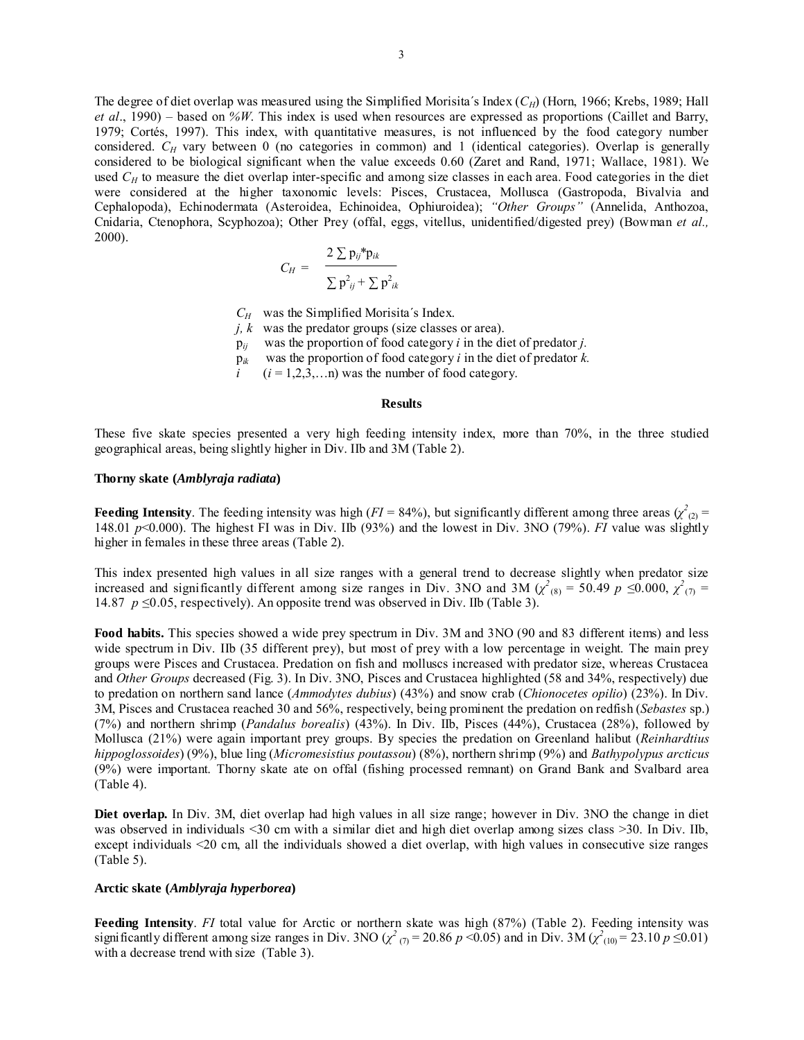The degree of diet overlap was measured using the Simplified Morisita's Index (*C<sub>H</sub>*) (Horn, 1966; Krebs, 1989; Hall *et al*., 1990) – based on *%W*. This index is used when resources are expressed as proportions (Caillet and Barry, 1979; Cortés, 1997). This index, with quantitative measures, is not influenced by the food category number considered.  $C_H$  vary between 0 (no categories in common) and 1 (identical categories). Overlap is generally considered to be biological significant when the value exceeds 0.60 (Zaret and Rand, 1971; Wallace, 1981). We used  $C_H$  to measure the diet overlap inter-specific and among size classes in each area. Food categories in the diet were considered at the higher taxonomic levels: Pisces, Crustacea, Mollusca (Gastropoda, Bivalvia and Cephalopoda), Echinodermata (Asteroidea, Echinoidea, Ophiuroidea); *"Other Groups"* (Annelida, Anthozoa, Cnidaria, Ctenophora, Scyphozoa); Other Prey (offal, eggs, vitellus, unidentified/digested prey) (Bowman *et al.,* 2000).

$$
C_H = \frac{2 \sum p_{ij}^* p_{ik}}{\sum p_{ij}^2 + \sum p_{ik}^2}
$$

*CH* was the Simplified Morisita´s Index.

*j, k* was the predator groups (size classes or area).

p*ij* was the proportion of food category *i* in the diet of predator *j.*

p*ik* was the proportion of food category *i* in the diet of predator *k.*

 $(i = 1,2,3,...n)$  was the number of food category.

### **Results**

These five skate species presented a very high feeding intensity index, more than 70%, in the three studied geographical areas, being slightly higher in Div. IIb and 3M (Table 2).

#### **Thorny skate (***Amblyraja radiata***)**

**Feeding Intensity**. The feeding intensity was high ( $FI = 84\%$ ), but significantly different among three areas ( $\chi^2_{(2)}$  = 148.01 *p*<0.000). The highest FI was in Div. IIb (93%) and the lowest in Div. 3NO (79%). *FI* value was slightly higher in females in these three areas (Table 2).

This index presented high values in all size ranges with a general trend to decrease slightly when predator size increased and significantly different among size ranges in Div. 3NO and 3M ( $\chi^2$ <sub>(8)</sub> = 50.49 *p* ≤0.000,  $\chi^2$ <sub>(7)</sub> = 14.87 *p* ≤0.05, respectively). An opposite trend was observed in Div. IIb (Table 3).

**Food habits.** This species showed a wide prey spectrum in Div. 3M and 3NO (90 and 83 different items) and less wide spectrum in Div. IIb (35 different prey), but most of prey with a low percentage in weight. The main prey groups were Pisces and Crustacea. Predation on fish and molluscs increased with predator size, whereas Crustacea and *Other Groups* decreased (Fig. 3). In Div. 3NO, Pisces and Crustacea highlighted (58 and 34%, respectively) due to predation on northern sand lance (*Ammodytes dubius*) (43%) and snow crab (*Chionocetes opilio*) (23%). In Div. 3M, Pisces and Crustacea reached 30 and 56%, respectively, being prominent the predation on redfish (*Sebastes* sp.) (7%) and northern shrimp (*Pandalus borealis*) (43%). In Div. IIb, Pisces (44%), Crustacea (28%), followed by Mollusca (21%) were again important prey groups. By species the predation on Greenland halibut (*Reinhardtius hippoglossoides*) (9%), blue ling (*Micromesistius poutassou*) (8%), northern shrimp (9%) and *Bathypolypus arcticus* (9%) were important. Thorny skate ate on offal (fishing processed remnant) on Grand Bank and Svalbard area (Table 4).

**Diet overlap.** In Div. 3M, diet overlap had high values in all size range; however in Div. 3NO the change in diet was observed in individuals <30 cm with a similar diet and high diet overlap among sizes class >30. In Div. IIb, except individuals <20 cm, all the individuals showed a diet overlap, with high values in consecutive size ranges (Table 5).

#### **Arctic skate (***Amblyraja hyperborea***)**

**Feeding Intensity**. *FI* total value for Arctic or northern skate was high (87%) (Table 2). Feeding intensity was significantly different among size ranges in Div. 3NO ( $\chi^2$  ( $\eta$ ) = 20.86  $p$  <0.05) and in Div. 3M ( $\chi^2$ <sub>(10)</sub> = 23.10  $p \le 0.01$ ) with a decrease trend with size (Table 3).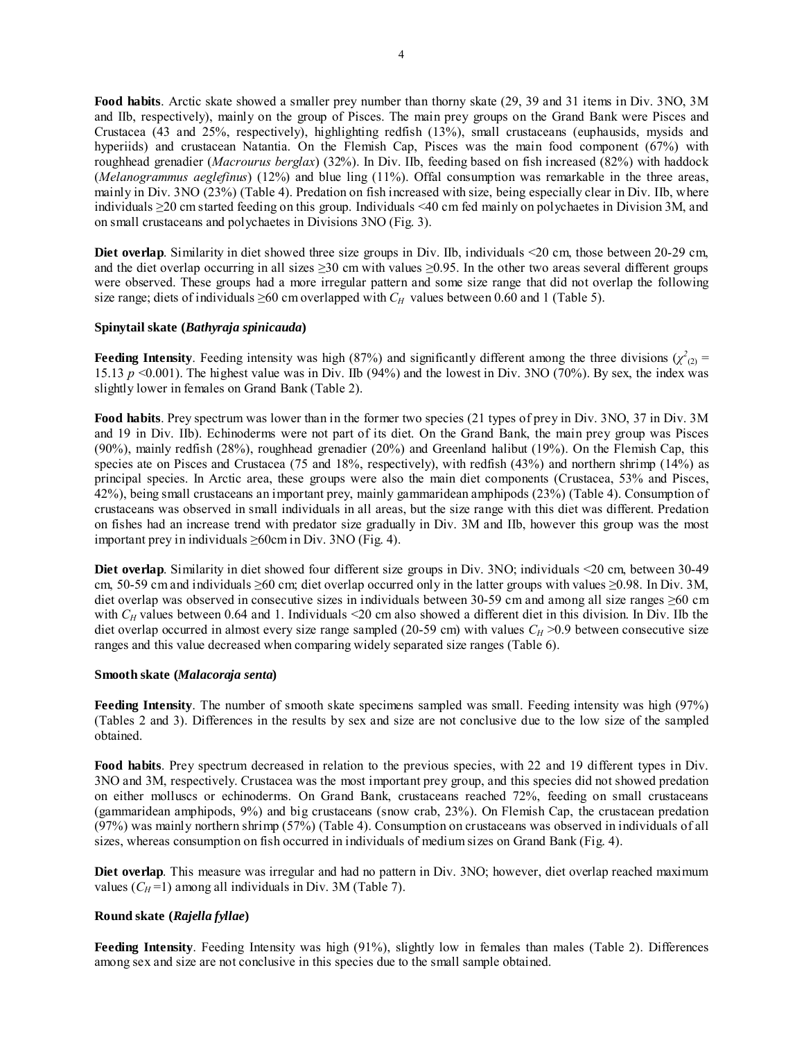**Food habits**. Arctic skate showed a smaller prey number than thorny skate (29, 39 and 31 items in Div. 3NO, 3M and IIb, respectively), mainly on the group of Pisces. The main prey groups on the Grand Bank were Pisces and Crustacea (43 and 25%, respectively), highlighting redfish (13%), small crustaceans (euphausids, mysids and hyperiids) and crustacean Natantia. On the Flemish Cap, Pisces was the main food component (67%) with roughhead grenadier (*Macrourus berglax*) (32%). In Div. IIb, feeding based on fish increased (82%) with haddock (*Melanogrammus aeglefinus*) (12%) and blue ling (11%). Offal consumption was remarkable in the three areas, mainly in Div. 3NO (23%) (Table 4). Predation on fish increased with size, being especially clear in Div. IIb, where individuals ≥20 cm started feeding on this group. Individuals <40 cm fed mainly on polychaetes in Division 3M, and on small crustaceans and polychaetes in Divisions 3NO (Fig. 3).

**Diet overlap**. Similarity in diet showed three size groups in Div. IIb, individuals <20 cm, those between 20-29 cm, and the diet overlap occurring in all sizes  $\geq$ 30 cm with values  $\geq$ 0.95. In the other two areas several different groups were observed. These groups had a more irregular pattern and some size range that did not overlap the following size range; diets of individuals  $\geq 60$  cm overlapped with  $C_H$  values between 0.60 and 1 (Table 5).

### **Spinytail skate (***Bathyraja spinicauda***)**

**Feeding Intensity**. Feeding intensity was high (87%) and significantly different among the three divisions ( $\chi^2_{(2)}$  = 15.13  $p \le 0.001$ ). The highest value was in Div. IIb (94%) and the lowest in Div. 3NO (70%). By sex, the index was slightly lower in females on Grand Bank (Table 2).

**Food habits**. Prey spectrum was lower than in the former two species (21 types of prey in Div. 3NO, 37 in Div. 3M and 19 in Div. IIb). Echinoderms were not part of its diet. On the Grand Bank, the main prey group was Pisces (90%), mainly redfish (28%), roughhead grenadier (20%) and Greenland halibut (19%). On the Flemish Cap, this species ate on Pisces and Crustacea (75 and 18%, respectively), with redfish (43%) and northern shrimp (14%) as principal species. In Arctic area, these groups were also the main diet components (Crustacea, 53% and Pisces, 42%), being small crustaceans an important prey, mainly gammaridean amphipods (23%) (Table 4). Consumption of crustaceans was observed in small individuals in all areas, but the size range with this diet was different. Predation on fishes had an increase trend with predator size gradually in Div. 3M and IIb, however this group was the most important prey in individuals ≥60cm in Div. 3NO (Fig. 4).

**Diet overlap**. Similarity in diet showed four different size groups in Div. 3NO; individuals <20 cm, between 30-49 cm, 50-59 cm and individuals ≥60 cm; diet overlap occurred only in the latter groups with values ≥0.98. In Div. 3M, diet overlap was observed in consecutive sizes in individuals between 30-59 cm and among all size ranges ≥60 cm with  $C_H$  values between 0.64 and 1. Individuals <20 cm also showed a different diet in this division. In Div. IIb the diet overlap occurred in almost every size range sampled (20-59 cm) with values  $C_H$  >0.9 between consecutive size ranges and this value decreased when comparing widely separated size ranges (Table 6).

### **Smooth skate (***Malacoraja senta***)**

**Feeding Intensity**. The number of smooth skate specimens sampled was small. Feeding intensity was high (97%) (Tables 2 and 3). Differences in the results by sex and size are not conclusive due to the low size of the sampled obtained.

**Food habits**. Prey spectrum decreased in relation to the previous species, with 22 and 19 different types in Div. 3NO and 3M, respectively. Crustacea was the most important prey group, and this species did not showed predation on either molluscs or echinoderms. On Grand Bank, crustaceans reached 72%, feeding on small crustaceans (gammaridean amphipods, 9%) and big crustaceans (snow crab, 23%). On Flemish Cap, the crustacean predation (97%) was mainly northern shrimp (57%) (Table 4). Consumption on crustaceans was observed in individuals of all sizes, whereas consumption on fish occurred in individuals of medium sizes on Grand Bank (Fig. 4).

**Diet overlap**. This measure was irregular and had no pattern in Div. 3NO; however, diet overlap reached maximum values  $(C_H = 1)$  among all individuals in Div. 3M (Table 7).

# **Round skate (***Rajella fyllae***)**

Feeding Intensity. Feeding Intensity was high (91%), slightly low in females than males (Table 2). Differences among sex and size are not conclusive in this species due to the small sample obtained.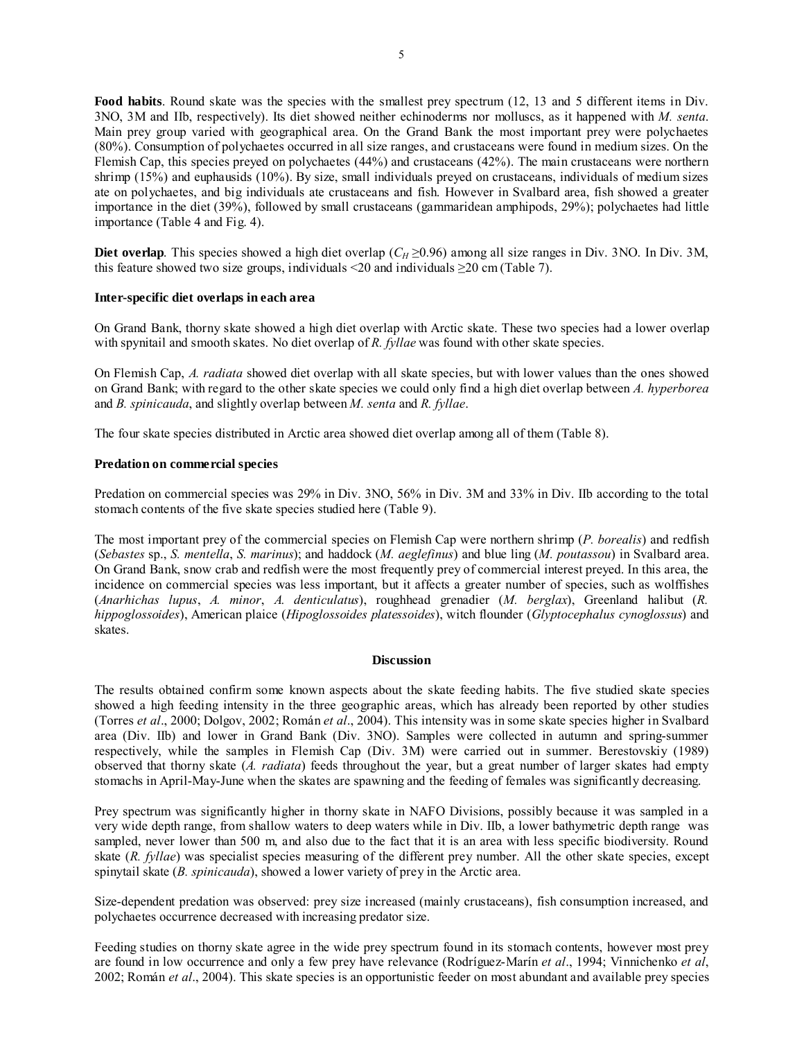Food habits. Round skate was the species with the smallest prey spectrum (12, 13 and 5 different items in Div. 3NO, 3M and IIb, respectively). Its diet showed neither echinoderms nor molluscs, as it happened with *M. senta*. Main prey group varied with geographical area. On the Grand Bank the most important prey were polychaetes (80%). Consumption of polychaetes occurred in all size ranges, and crustaceans were found in medium sizes. On the Flemish Cap, this species preyed on polychaetes (44%) and crustaceans (42%). The main crustaceans were northern shrimp (15%) and euphausids (10%). By size, small individuals preyed on crustaceans, individuals of medium sizes ate on polychaetes, and big individuals ate crustaceans and fish. However in Svalbard area, fish showed a greater importance in the diet (39%), followed by small crustaceans (gammaridean amphipods, 29%); polychaetes had little importance (Table 4 and Fig. 4).

**Diet overlap**. This species showed a high diet overlap ( $C_H \ge 0.96$ ) among all size ranges in Div. 3NO. In Div. 3M, this feature showed two size groups, individuals <20 and individuals  $\geq$ 20 cm (Table 7).

### **Inter-specific diet overlaps in each area**

On Grand Bank, thorny skate showed a high diet overlap with Arctic skate. These two species had a lower overlap with spynitail and smooth skates. No diet overlap of *R. fyllae* was found with other skate species.

On Flemish Cap, *A. radiata* showed diet overlap with all skate species, but with lower values than the ones showed on Grand Bank; with regard to the other skate species we could only find a high diet overlap between *A. hyperborea* and *B. spinicauda*, and slightly overlap between *M. senta* and *R. fyllae*.

The four skate species distributed in Arctic area showed diet overlap among all of them (Table 8).

# **Predation on commercial species**

Predation on commercial species was 29% in Div. 3NO, 56% in Div. 3M and 33% in Div. IIb according to the total stomach contents of the five skate species studied here (Table 9).

The most important prey of the commercial species on Flemish Cap were northern shrimp (*P. borealis*) and redfish (*Sebastes* sp., *S. mentella*, *S. marinus*); and haddock (*M. aeglefinus*) and blue ling (*M. poutassou*) in Svalbard area. On Grand Bank, snow crab and redfish were the most frequently prey of commercial interest preyed. In this area, the incidence on commercial species was less important, but it affects a greater number of species, such as wolffishes (*Anarhichas lupus*, *A. minor*, *A. denticulatus*), roughhead grenadier (*M. berglax*), Greenland halibut (*R. hippoglossoides*), American plaice (*Hipoglossoides platessoides*), witch flounder (*Glyptocephalus cynoglossus*) and skates.

### **Discussion**

The results obtained confirm some known aspects about the skate feeding habits. The five studied skate species showed a high feeding intensity in the three geographic areas, which has already been reported by other studies (Torres *et al*., 2000; Dolgov, 2002; Román *et al*., 2004). This intensity was in some skate species higher in Svalbard area (Div. IIb) and lower in Grand Bank (Div. 3NO). Samples were collected in autumn and spring-summer respectively, while the samples in Flemish Cap (Div. 3M) were carried out in summer. Berestovskiy (1989) observed that thorny skate (*A. radiata*) feeds throughout the year, but a great number of larger skates had empty stomachs in April-May-June when the skates are spawning and the feeding of females was significantly decreasing.

Prey spectrum was significantly higher in thorny skate in NAFO Divisions, possibly because it was sampled in a very wide depth range, from shallow waters to deep waters while in Div. IIb, a lower bathymetric depth range was sampled, never lower than 500 m, and also due to the fact that it is an area with less specific biodiversity. Round skate (*R. fyllae*) was specialist species measuring of the different prey number. All the other skate species, except spinytail skate (*B. spinicauda*), showed a lower variety of prey in the Arctic area.

Size-dependent predation was observed: prey size increased (mainly crustaceans), fish consumption increased, and polychaetes occurrence decreased with increasing predator size.

Feeding studies on thorny skate agree in the wide prey spectrum found in its stomach contents, however most prey are found in low occurrence and only a few prey have relevance (Rodríguez-Marín *et al*., 1994; Vinnichenko *et al*, 2002; Román *et al*., 2004). This skate species is an opportunistic feeder on most abundant and available prey species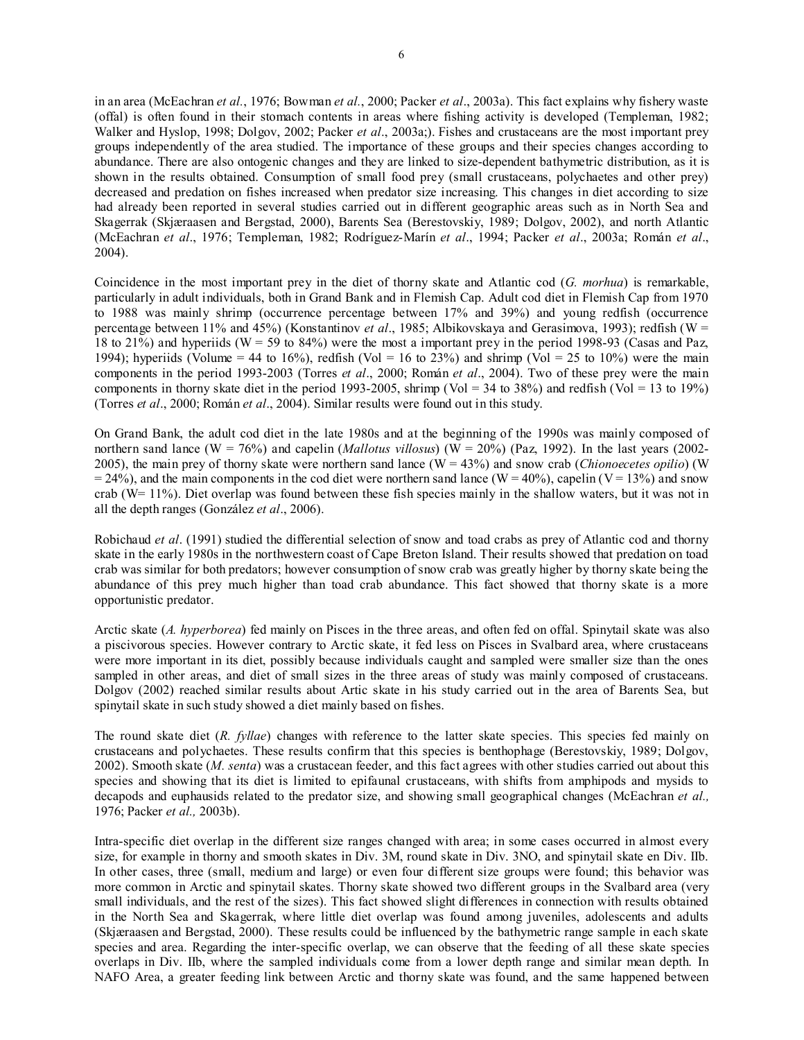in an area (McEachran *et al.*, 1976; Bowman *et al.*, 2000; Packer *et al*., 2003a). This fact explains why fishery waste (offal) is often found in their stomach contents in areas where fishing activity is developed (Templeman, 1982; Walker and Hyslop, 1998; Dolgov, 2002; Packer *et al*., 2003a;). Fishes and crustaceans are the most important prey groups independently of the area studied. The importance of these groups and their species changes according to abundance. There are also ontogenic changes and they are linked to size-dependent bathymetric distribution, as it is shown in the results obtained. Consumption of small food prey (small crustaceans, polychaetes and other prey) decreased and predation on fishes increased when predator size increasing. This changes in diet according to size had already been reported in several studies carried out in different geographic areas such as in North Sea and Skagerrak (Skjæraasen and Bergstad, 2000), Barents Sea (Berestovskiy, 1989; Dolgov, 2002), and north Atlantic (McEachran *et al*., 1976; Templeman, 1982; Rodríguez-Marín *et al*., 1994; Packer *et al*., 2003a; Román *et al*., 2004).

Coincidence in the most important prey in the diet of thorny skate and Atlantic cod (*G. morhua*) is remarkable, particularly in adult individuals, both in Grand Bank and in Flemish Cap. Adult cod diet in Flemish Cap from 1970 to 1988 was mainly shrimp (occurrence percentage between 17% and 39%) and young redfish (occurrence percentage between 11% and 45%) (Konstantinov *et al*., 1985; Albikovskaya and Gerasimova, 1993); redfish (W = 18 to 21%) and hyperiids (W = 59 to 84%) were the most a important prey in the period 1998-93 (Casas and Paz, 1994); hyperiids (Volume = 44 to 16%), redfish (Vol = 16 to 23%) and shrimp (Vol = 25 to 10%) were the main components in the period 1993-2003 (Torres *et al*., 2000; Román *et al*., 2004). Two of these prey were the main components in thorny skate diet in the period 1993-2005, shrimp (Vol = 34 to 38%) and redfish (Vol = 13 to 19%) (Torres *et al*., 2000; Román *et al*., 2004). Similar results were found out in this study.

On Grand Bank, the adult cod diet in the late 1980s and at the beginning of the 1990s was mainly composed of northern sand lance (W = 76%) and capelin (*Mallotus villosus*) ( $\overline{W}$  = 20%) (Paz, 1992). In the last years (2002-2005), the main prey of thorny skate were northern sand lance  $(\hat{W} = 43\%)$  and snow crab *(Chionoecetes opilio)* (W  $= 24\%$ ), and the main components in the cod diet were northern sand lance (W = 40%), capelin (V = 13%) and snow crab (W= 11%). Diet overlap was found between these fish species mainly in the shallow waters, but it was not in all the depth ranges (González *et al*., 2006).

Robichaud *et al*. (1991) studied the differential selection of snow and toad crabs as prey of Atlantic cod and thorny skate in the early 1980s in the northwestern coast of Cape Breton Island. Their results showed that predation on toad crab was similar for both predators; however consumption of snow crab was greatly higher by thorny skate being the abundance of this prey much higher than toad crab abundance. This fact showed that thorny skate is a more opportunistic predator.

Arctic skate (*A. hyperborea*) fed mainly on Pisces in the three areas, and often fed on offal. Spinytail skate was also a piscivorous species. However contrary to Arctic skate, it fed less on Pisces in Svalbard area, where crustaceans were more important in its diet, possibly because individuals caught and sampled were smaller size than the ones sampled in other areas, and diet of small sizes in the three areas of study was mainly composed of crustaceans. Dolgov (2002) reached similar results about Artic skate in his study carried out in the area of Barents Sea, but spinytail skate in such study showed a diet mainly based on fishes.

The round skate diet (*R. fyllae*) changes with reference to the latter skate species. This species fed mainly on crustaceans and polychaetes. These results confirm that this species is benthophage (Berestovskiy, 1989; Dolgov, 2002). Smooth skate (*M. senta*) was a crustacean feeder, and this fact agrees with other studies carried out about this species and showing that its diet is limited to epifaunal crustaceans, with shifts from amphipods and mysids to decapods and euphausids related to the predator size, and showing small geographical changes (McEachran *et al.,* 1976; Packer *et al.,* 2003b).

Intra-specific diet overlap in the different size ranges changed with area; in some cases occurred in almost every size, for example in thorny and smooth skates in Div. 3M, round skate in Div. 3NO, and spinytail skate en Div. IIb. In other cases, three (small, medium and large) or even four different size groups were found; this behavior was more common in Arctic and spinytail skates. Thorny skate showed two different groups in the Svalbard area (very small individuals, and the rest of the sizes). This fact showed slight differences in connection with results obtained in the North Sea and Skagerrak, where little diet overlap was found among juveniles, adolescents and adults (Skjæraasen and Bergstad, 2000). These results could be influenced by the bathymetric range sample in each skate species and area. Regarding the inter-specific overlap, we can observe that the feeding of all these skate species overlaps in Div. IIb, where the sampled individuals come from a lower depth range and similar mean depth. In NAFO Area, a greater feeding link between Arctic and thorny skate was found, and the same happened between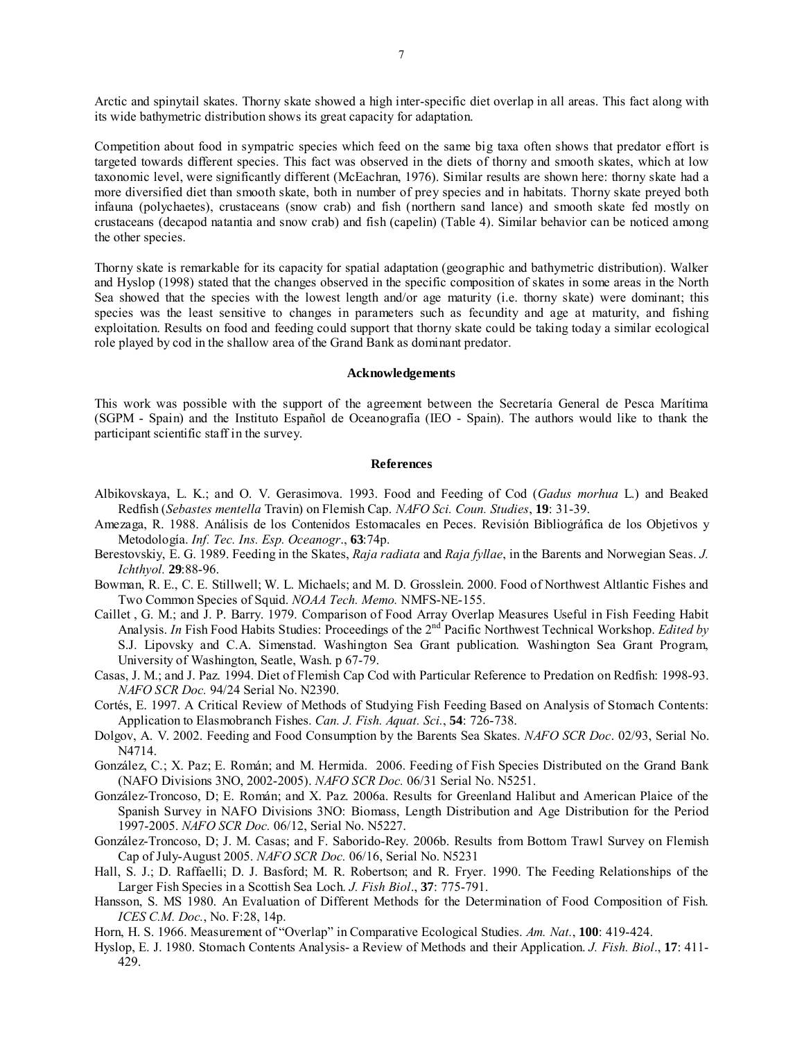Arctic and spinytail skates. Thorny skate showed a high inter-specific diet overlap in all areas. This fact along with its wide bathymetric distribution shows its great capacity for adaptation.

Competition about food in sympatric species which feed on the same big taxa often shows that predator effort is targeted towards different species. This fact was observed in the diets of thorny and smooth skates, which at low taxonomic level, were significantly different (McEachran, 1976). Similar results are shown here: thorny skate had a more diversified diet than smooth skate, both in number of prey species and in habitats. Thorny skate preyed both infauna (polychaetes), crustaceans (snow crab) and fish (northern sand lance) and smooth skate fed mostly on crustaceans (decapod natantia and snow crab) and fish (capelin) (Table 4). Similar behavior can be noticed among the other species.

Thorny skate is remarkable for its capacity for spatial adaptation (geographic and bathymetric distribution). Walker and Hyslop (1998) stated that the changes observed in the specific composition of skates in some areas in the North Sea showed that the species with the lowest length and/or age maturity (i.e. thorny skate) were dominant; this species was the least sensitive to changes in parameters such as fecundity and age at maturity, and fishing exploitation. Results on food and feeding could support that thorny skate could be taking today a similar ecological role played by cod in the shallow area of the Grand Bank as dominant predator.

#### **Acknowledgements**

This work was possible with the support of the agreement between the Secretaría General de Pesca Marítima (SGPM - Spain) and the Instituto Español de Oceanografía (IEO - Spain). The authors would like to thank the participant scientific staff in the survey.

#### **References**

- Albikovskaya, L. K.; and O. V. Gerasimova. 1993. Food and Feeding of Cod (*Gadus morhua* L.) and Beaked Redfish (*Sebastes mentella* Travin) on Flemish Cap. *NAFO Sci. Coun. Studies*, **19**: 31-39.
- Amezaga, R. 1988. Análisis de los Contenidos Estomacales en Peces. Revisión Bibliográfica de los Objetivos y Metodología. *Inf. Tec. Ins. Esp. Oceanogr*., **63**:74p.
- Berestovskiy, E. G. 1989. Feeding in the Skates, *Raja radiata* and *Raja fyllae*, in the Barents and Norwegian Seas. *J. Ichthyol.* **29**:88-96.
- Bowman, R. E., C. E. Stillwell; W. L. Michaels; and M. D. Grosslein. 2000. Food of Northwest Altlantic Fishes and Two Common Species of Squid. *NOAA Tech. Memo.* NMFS-NE-155.
- Caillet , G. M.; and J. P. Barry. 1979. Comparison of Food Array Overlap Measures Useful in Fish Feeding Habit Analysis. *In* Fish Food Habits Studies: Proceedings of the 2<sup>nd</sup> Pacific Northwest Technical Workshop. *Edited by* S.J. Lipovsky and C.A. Simenstad. Washington Sea Grant publication. Washington Sea Grant Program, University of Washington, Seatle, Wash. p 67-79.
- Casas, J. M.; and J. Paz. 1994. Diet of Flemish Cap Cod with Particular Reference to Predation on Redfish: 1998-93. *NAFO SCR Doc.* 94/24 Serial No. N2390.
- Cortés, E. 1997. A Critical Review of Methods of Studying Fish Feeding Based on Analysis of Stomach Contents: Application to Elasmobranch Fishes. *Can. J. Fish. Aquat. Sci.*, **54**: 726-738.
- Dolgov, A. V. 2002. Feeding and Food Consumption by the Barents Sea Skates. *NAFO SCR Doc*. 02/93, Serial No. N4714.
- González, C.; X. Paz; E. Román; and M. Hermida. 2006. Feeding of Fish Species Distributed on the Grand Bank (NAFO Divisions 3NO, 2002-2005). *NAFO SCR Doc.* 06/31 Serial No. N5251.
- González-Troncoso, D; E. Román; and X. Paz. 2006a. Results for Greenland Halibut and American Plaice of the Spanish Survey in NAFO Divisions 3NO: Biomass, Length Distribution and Age Distribution for the Period 1997-2005. *NAFO SCR Doc.* 06/12, Serial No. N5227.
- González-Troncoso, D; J. M. Casas; and F. Saborido-Rey. 2006b. Results from Bottom Trawl Survey on Flemish Cap of July-August 2005. *NAFO SCR Doc.* 06/16, Serial No. N5231
- Hall, S. J.; D. Raffaelli; D. J. Basford; M. R. Robertson; and R. Fryer. 1990. The Feeding Relationships of the Larger Fish Species in a Scottish Sea Loch. *J. Fish Biol*., **37**: 775-791.
- Hansson, S. MS 1980. An Evaluation of Different Methods for the Determination of Food Composition of Fish. *ICES C.M. Doc.*, No. F:28, 14p.
- Horn, H. S. 1966. Measurement of "Overlap" in Comparative Ecological Studies. *Am. Nat.*, **100**: 419-424.
- Hyslop, E. J. 1980. Stomach Contents Analysis- a Review of Methods and their Application. *J. Fish. Biol*., **17**: 411- 429.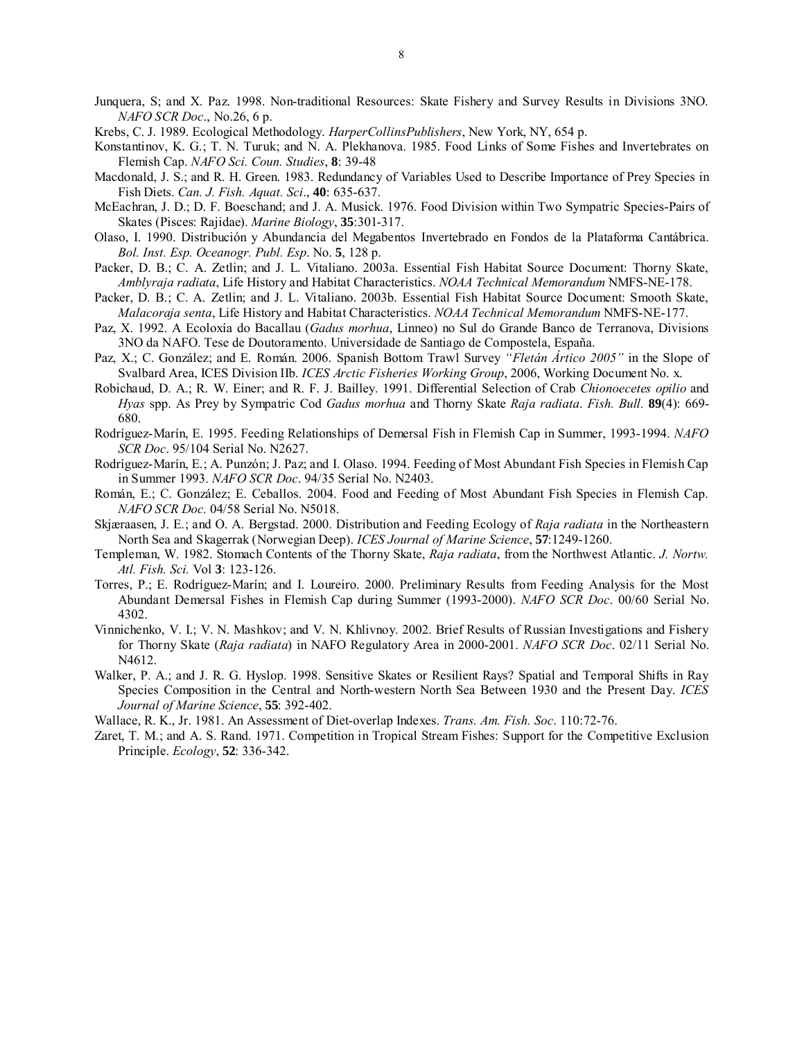- Junquera, S; and X. Paz. 1998. Non-traditional Resources: Skate Fishery and Survey Results in Divisions 3NO. *NAFO SCR Doc*., No.26, 6 p.
- Krebs, C. J. 1989. Ecological Methodology. *HarperCollinsPublishers*, New York, NY, 654 p.
- Konstantinov, K. G.; T. N. Turuk; and N. A. Plekhanova. 1985. Food Links of Some Fishes and Invertebrates on Flemish Cap. *NAFO Sci. Coun. Studies*, **8**: 39-48
- Macdonald, J. S.; and R. H. Green. 1983. Redundancy of Variables Used to Describe Importance of Prey Species in Fish Diets. *Can. J. Fish. Aquat. Sci*., **40**: 635-637.
- McEachran, J. D.; D. F. Boeschand; and J. A. Musick. 1976. Food Division within Two Sympatric Species-Pairs of Skates (Pisces: Rajidae). *Marine Biology*, **35**:301-317.
- Olaso, I. 1990. Distribución y Abundancia del Megabentos Invertebrado en Fondos de la Plataforma Cantábrica. *Bol. Inst. Esp. Oceanogr. Publ. Esp*. No. **5**, 128 p.
- Packer, D. B.; C. A. Zetlin; and J. L. Vitaliano. 2003a. Essential Fish Habitat Source Document: Thorny Skate, *Amblyraja radiata*, Life History and Habitat Characteristics. *NOAA Technical Memorandum* NMFS-NE-178.
- Packer, D. B.; C. A. Zetlin; and J. L. Vitaliano. 2003b. Essential Fish Habitat Source Document: Smooth Skate, *Malacoraja senta*, Life History and Habitat Characteristics. *NOAA Technical Memorandum* NMFS-NE-177.
- Paz, X. 1992. A Ecoloxía do Bacallau (*Gadus morhua*, Linneo) no Sul do Grande Banco de Terranova, Divisions 3NO da NAFO. Tese de Doutoramento. Universidade de Santiago de Compostela, España.
- Paz, X.; C. González; and E. Román. 2006. Spanish Bottom Trawl Survey *"Fletán Ártico 2005"* in the Slope of Svalbard Area, ICES Division IIb. *ICES Arctic Fisheries Working Group*, 2006, Working Document No. x.
- Robichaud, D. A.; R. W. Einer; and R. F. J. Bailley. 1991. Differential Selection of Crab *Chionoecetes opilio* and *Hyas* spp. As Prey by Sympatric Cod *Gadus morhua* and Thorny Skate *Raja radiata*. *Fish. Bull.* **89**(4): 669- 680.
- Rodríguez-Marín, E. 1995. Feeding Relationships of Demersal Fish in Flemish Cap in Summer, 1993-1994. *NAFO SCR Doc*. 95/104 Serial No. N2627.
- Rodríguez-Marín, E.; A. Punzón; J. Paz; and I. Olaso. 1994. Feeding of Most Abundant Fish Species in Flemish Cap in Summer 1993. *NAFO SCR Doc*. 94/35 Serial No. N2403.
- Román, E.; C. González; E. Ceballos. 2004. Food and Feeding of Most Abundant Fish Species in Flemish Cap. *NAFO SCR Doc.* 04/58 Serial No. N5018.
- Skjæraasen, J. E.; and O. A. Bergstad. 2000. Distribution and Feeding Ecology of *Raja radiata* in the Northeastern North Sea and Skagerrak (Norwegian Deep). *ICES Journal of Marine Science*, **57**:1249-1260.
- Templeman, W. 1982. Stomach Contents of the Thorny Skate, *Raja radiata*, from the Northwest Atlantic. *J. Nortw. Atl. Fish. Sci.* Vol **3**: 123-126.
- Torres, P.; E. Rodríguez-Marín; and I. Loureiro. 2000. Preliminary Results from Feeding Analysis for the Most Abundant Demersal Fishes in Flemish Cap during Summer (1993-2000). *NAFO SCR Doc*. 00/60 Serial No. 4302.
- Vinnichenko, V. I.; V. N. Mashkov; and V. N. Khlivnoy. 2002. Brief Results of Russian Investigations and Fishery for Thorny Skate (*Raja radiata*) in NAFO Regulatory Area in 2000-2001. *NAFO SCR Doc*. 02/11 Serial No. N4612.
- Walker, P. A.; and J. R. G. Hyslop. 1998. Sensitive Skates or Resilient Rays? Spatial and Temporal Shifts in Ray Species Composition in the Central and North-western North Sea Between 1930 and the Present Day. *ICES Journal of Marine Science*, **55**: 392-402.
- Wallace, R. K., Jr. 1981. An Assessment of Diet-overlap Indexes. *Trans. Am. Fish. Soc*. 110:72-76.
- Zaret, T. M.; and A. S. Rand. 1971. Competition in Tropical Stream Fishes: Support for the Competitive Exclusion Principle. *Ecology*, **52**: 336-342.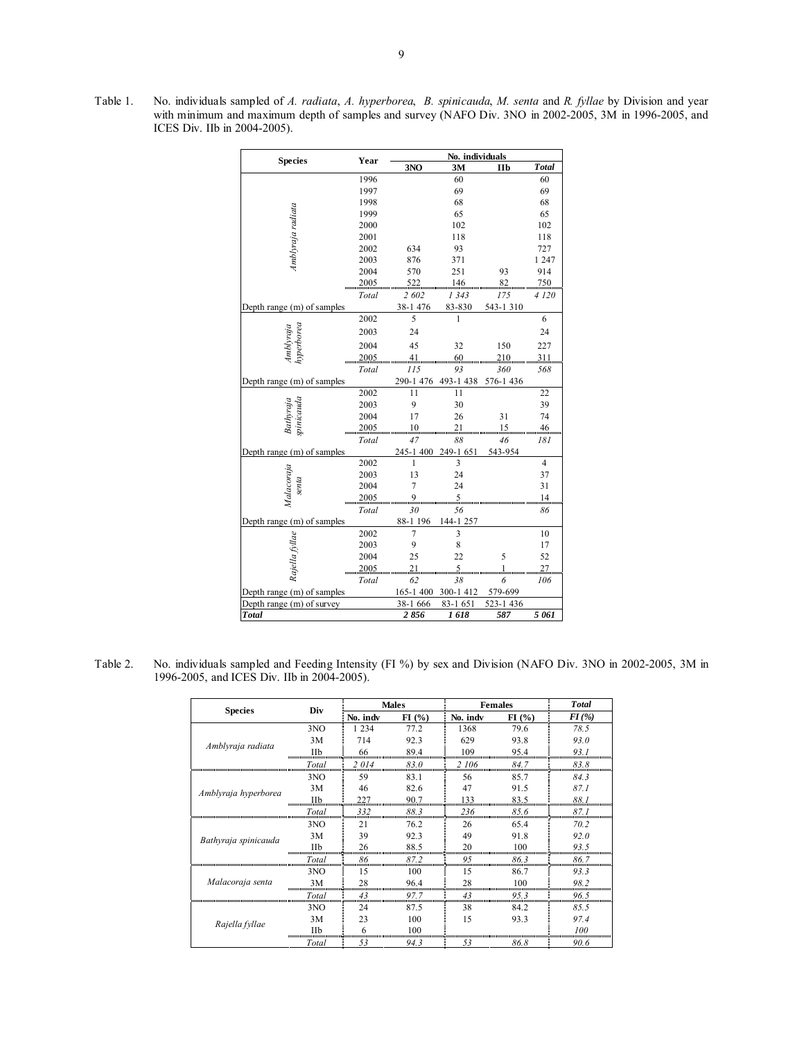Table 1. No. individuals sampled of *A. radiata*, *A. hyperborea*, *B. spinicauda*, *M. senta* and *R. fyllae* by Division and year with minimum and maximum depth of samples and survey (NAFO Div. 3NO in 2002-2005, 3M in 1996-2005, and ICES Div. IIb in 2004-2005).

| <b>Species</b>             | Year    |           | No. individuals |           |                |
|----------------------------|---------|-----------|-----------------|-----------|----------------|
|                            |         | 3NO       | 3M              | Пb        | <b>Total</b>   |
|                            | 1996    |           | 60              |           | 60             |
|                            | 1997    |           | 69              |           | 69             |
|                            | 1998    |           | 68              |           | 68             |
|                            | 1999    |           | 65              |           | 65             |
|                            | 2000    |           | 102             |           | 102            |
| Amblyraja radiata          | 2001    |           | 118             |           | 118            |
|                            | 2002    | 634       | 93              |           | 727            |
|                            | 2003    | 876       | 371             |           | 1 247          |
|                            | 2004    | 570       | 251             | 93        | 914            |
|                            | 2005    | 522       | 146             | 82        | 750            |
|                            | Total   | 2 602     | 1343            | 175       | 4 1 2 0        |
| Depth range (m) of samples |         | 38-1 476  | 83-830          | 543-1310  |                |
|                            | 2002    | 5         | 1               |           | 6              |
| Amblyraja<br>hyperborea    | 2003    | 24        |                 |           | 24             |
|                            | 2004    | 45        | 32              | 150       | 227            |
|                            | $-2005$ |           |                 | 210       | 311            |
|                            | Total   | 115       | 93              | 360       | 568            |
| Depth range (m) of samples |         | 290-1 476 | 493-1438        | 576-1436  |                |
|                            | 2002    | 11        | 11              |           | 22             |
|                            | 2003    | 9         | 30              |           | 39             |
|                            | 2004    | 17        | 26              | 31        | 74             |
| Bathyraja<br>spinicauda    | 2005    |           |                 | $15 - 46$ |                |
|                            | Total   | 47        | 88              | 46        | 181            |
| Depth range (m) of samples |         | 245-1400  | 249-1 651       | 543-954   |                |
|                            | 2002    | 1         | 3               |           | $\overline{4}$ |
|                            | 2003    | 13        | 24              |           | 37             |
|                            | 2004    | 7         | 24              |           | 31             |
| Malacoraja<br>senta        | 2005    |           |                 |           | 14             |
|                            | Total   | 30        | 56              |           | 86             |
| Depth range (m) of samples |         | 88-1 196  | 144-1 257       |           |                |
|                            | 2002    | 7         | 3               |           | 10             |
|                            | 2003    | 9         | 8               |           | 17             |
|                            | 2004    | 25        | 22              | 5         | 52             |
| Rajella fyllae             |         |           |                 |           |                |
|                            | Total   | 62        | 38              | 6         | 106            |
| Depth range (m) of samples |         | 165-1400  | 300-1 412       | 579-699   |                |
| Depth range (m) of survey  |         | 38-1 666  | 83-1 651        | 523-1436  |                |
| <b>Total</b>               |         | 2856      | 1618            | 587       | 5 061          |

Table 2. No. individuals sampled and Feeding Intensity (FI %) by sex and Division (NAFO Div. 3NO in 2002-2005, 3M in 1996-2005, and ICES Div. IIb in 2004-2005).

| <b>Species</b>       | Div                           |          | <b>Males</b> |          | <b>Females</b> | <b>T</b> otal |
|----------------------|-------------------------------|----------|--------------|----------|----------------|---------------|
|                      |                               | No. indv | FI(%)        | No. indv | FI(%)          | $FI$ (%)      |
|                      | 3NO                           | 1 2 3 4  | 77.2         | 1368     | 79.6           | 78.5          |
| Amblyraja radiata    | 3M                            | 714      | 92.3         | 629      | 93.8           | 93.0          |
|                      | Пb                            | 66       | 89.4         | 109      | 95.4           | 93. I         |
|                      | Total                         | 2014     | 83.0         | 2 106    | 84.7           | 83.8          |
|                      | 3 <sub>NO</sub>               | 59       | 83.1         | 56       | 85.7           | 84.3          |
| Amblyraja hyperborea | 3M                            | 46       | 82.6         | 47       | 91.5           | 87.1          |
|                      | Пb                            | 227      | 90.7         | 133      | 83.5           | 88. I         |
|                      | Total                         | 332      | 88.3         | 236      | 85.6           | 87.1          |
|                      | 3NO                           | 21       | 76.2         | 26       | 65.4           | 70.2          |
| Bathyraja spinicauda | 3M                            | 39       | 92.3         | 49       | 91.8           | 92.0          |
|                      | Пh                            | 26       | 88.5         | 20       | 100            | 93.5          |
|                      | Total                         | 86       | 87.2         | 95       | 86.3           | 86.7          |
|                      | 3NO                           | 15       | 100          | 15       | 86.7           | 93.3          |
| Malacoraja senta     | 3M<br>,,,,,,,,,,,,,,,,,,,,,,, | 28       | 96.4         | 28       | 100            | 98.2          |
|                      | <b>Total</b>                  | .43      | 97.7         | 43       | 95.3           | 96.5          |
|                      | 3NO                           | 24       | 87.5         | 38       | 84.2           | 8.5.5         |
| Rajella fyllae       | 3M                            | 23       | 100          | 15       | 93.3           | 97.4          |
|                      | Пb                            |          | 100          |          |                | 100           |
|                      | Total                         | 53       | 94.3         | 53       | 86.8           | 90.6          |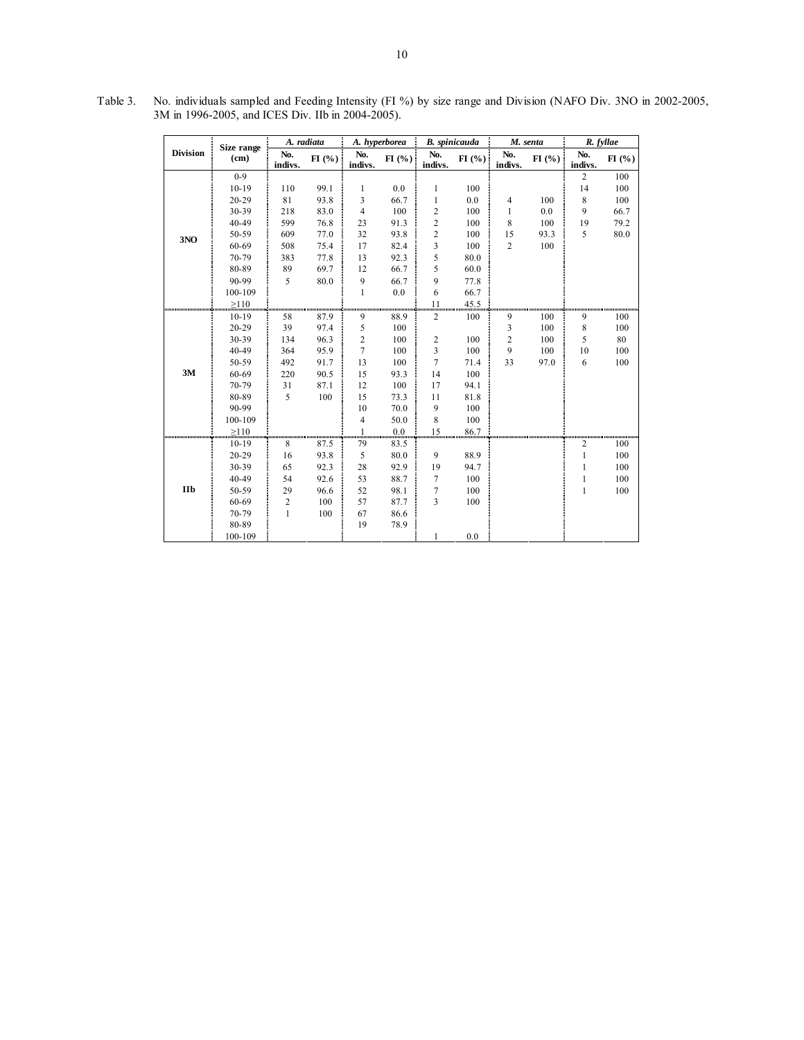|                              |                    | A. radiata     |       |                | A. hyperborea       | <b>B.</b> spinicauda    |       |                | M. senta | R. fyllae      |       |  |
|------------------------------|--------------------|----------------|-------|----------------|---------------------|-------------------------|-------|----------------|----------|----------------|-------|--|
| <b>Division</b>              | Size range<br>(cm) | No.<br>indivs. | FI(%) | No.<br>indivs. | FI(%)               | No.<br>indivs.          | FI(%) | No.<br>indivs. | FI(% )   | No.<br>indivs. | FI(%) |  |
|                              | $0 - 9$            |                |       |                |                     |                         |       |                |          | $\overline{c}$ | 100   |  |
|                              | $10-19$            | 110            | 99.1  | 1              | 0.0                 | 1                       | 100   |                |          | 14             | 100   |  |
|                              | $20 - 29$          | 81             | 93.8  | 3              | 66.7                | 1                       | 0.0   | $\overline{4}$ | 100      | 8              | 100   |  |
|                              | 30-39              | 218            | 83.0  | 4              | 100                 | $\overline{c}$          | 100   | 1              | 0.0      | 9              | 66.7  |  |
|                              | 40-49              | 599            | 76.8  | 23             | 91.3                | $\boldsymbol{2}$        | 100   | 8              | 100      | 19             | 79.2  |  |
| 3NO                          | 50-59              | 609            | 77.0  | 32             | 93.8                | $\overline{c}$          | 100   | 15             | 93.3     | 5              | 80.0  |  |
|                              | 60-69              | 508            | 75.4  | 17             | 82.4                | 3                       | 100   | $\overline{c}$ | 100      |                |       |  |
|                              | 70-79              | 383            | 77.8  | 13             | 92.3                | 5                       | 80.0  |                |          |                |       |  |
|                              | 80-89              | 89             | 69.7  | 12             | 66.7                | 5                       | 60.0  |                |          |                |       |  |
|                              | 90-99              | 5              | 80.0  | 9              | 66.7                | 9                       | 77.8  |                |          |                |       |  |
|                              | 100-109            |                |       | 1              | 0.0                 | 6                       | 66.7  |                |          |                |       |  |
| ,,,,,,,,,,,,,,,,,,,,,,,,,,,, | $\geq 110$         |                |       |                |                     | 11                      | 45.5  |                |          |                |       |  |
|                              | $10-19$            | 58             | 87.9  | 9              | ասասասատծատ<br>88.9 | $\overline{c}$          | 100   | 9              | 100      | 9              | 100   |  |
|                              | 20-29              | 39             | 97.4  | 5              | 100                 |                         |       | 3              | 100      | 8              | 100   |  |
|                              | 30-39              | 134            | 96.3  | $\overline{c}$ | 100                 | $\overline{\mathbf{c}}$ | 100   | $\overline{2}$ | 100      | 5              | 80    |  |
|                              | 40-49              | 364            | 95.9  | $\overline{7}$ | 100                 | 3                       | 100   | 9              | 100      | 10             | 100   |  |
|                              | 50-59              | 492            | 91.7  | 13             | 100                 | $\overline{7}$          | 71.4  | 33             | 97.0     | 6              | 100   |  |
| 3M                           | 60-69              | 220            | 90.5  | 15             | 93.3                | 14                      | 100   |                |          |                |       |  |
|                              | 70-79              | 31             | 87.1  | 12             | 100                 | 17                      | 94.1  |                |          |                |       |  |
|                              | 80-89              | 5              | 100   | 15             | 73.3                | 11                      | 81.8  |                |          |                |       |  |
|                              | 90-99              |                |       | 10             | 70.0                | 9                       | 100   |                |          |                |       |  |
|                              | 100-109            |                |       | $\overline{4}$ | 50.0                | 8                       | 100   |                |          |                |       |  |
|                              | $\geq 110$         |                |       | 1              | 0.0                 | 15                      | 86.7  |                |          |                |       |  |
|                              | $10 - 19$          | 8              | 87.5  | 79             | 83.5                |                         |       |                |          | 2              | 100   |  |
|                              | $20 - 29$          | 16             | 93.8  | 5              | 80.0                | 9                       | 88.9  |                |          | 1              | 100   |  |
|                              | 30-39              | 65             | 92.3  | 28             | 92.9                | 19                      | 94.7  |                |          | 1              | 100   |  |
|                              | 40-49              | 54             | 92.6  | 53             | 88.7                | 7                       | 100   |                |          | 1              | 100   |  |
| <b>IIb</b>                   | 50-59              | 29             | 96.6  | 52             | 98.1                | 7                       | 100   |                |          | 1              | 100   |  |
|                              | 60-69              | 2              | 100   | 57             | 87.7                | 3                       | 100   |                |          |                |       |  |
|                              | 70-79              | $\mathbf{1}$   | 100   | 67             | 86.6                |                         |       |                |          |                |       |  |
|                              | 80-89              |                |       | 19             | 78.9                |                         |       |                |          |                |       |  |
|                              | 100-109            |                |       |                |                     | 1                       | 0.0   |                |          |                |       |  |

 Table 3. No. individuals sampled and Feeding Intensity (FI %) by size range and Division (NAFO Div. 3NO in 2002-2005, 3M in 1996-2005, and ICES Div. IIb in 2004-2005).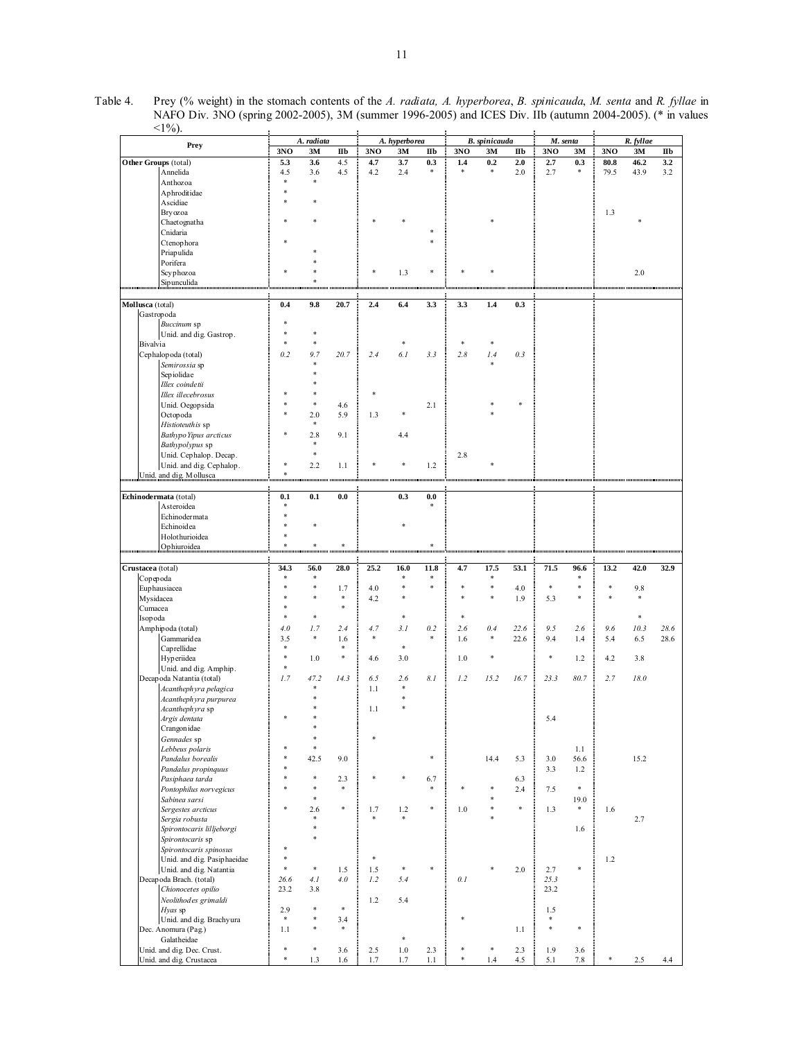Table 4. Prey (% weight) in the stomach contents of the *A. radiata, A. hyperborea*, *B. spinicauda*, *M. senta* and *R. fyllae* in NAFO Div. 3NO (spring 2002-2005), 3M (summer 1996-2005) and ICES Div. IIb (autumn 2004-2005). (\* in values  $\overline{\phantom{a}}$  $\overline{\phantom{a}}$  $\overline{\phantom{a}}$  $<1\%$ ).  $\overline{a}$  $\overline{a}$ 

|                   | Prey                                               |                                   | A. radiata |               |               | A. hyperborea       |              |       | <b>B.</b> spinicauda |            | M. senta |        |                                                                 | R. fyllae        |              |
|-------------------|----------------------------------------------------|-----------------------------------|------------|---------------|---------------|---------------------|--------------|-------|----------------------|------------|----------|--------|-----------------------------------------------------------------|------------------|--------------|
|                   |                                                    | 3NO                               | 3M         | IIb           | 3NO           | 3M                  | IIb          | 3NO   | 3M                   | IIb        | 3NO      | 3M     | 3NO                                                             | 3M               | $\mathbf{I}$ |
|                   | Other Groups (total)                               | 5.3                               | 3.6        | 4.5           | 4.7           | 3.7                 | 0.3          | 1.4   | 0.2                  | 2.0        | 2.7      | 0.3    | 80.8                                                            | 46.2             | 3.2          |
|                   | Annelida                                           | 4.5                               | 3.6        | 4.5           | 4.2           | 2.4                 | $\ast$       | 字     | $\ast$               | 2.0        | 2.7      | *      | 79.5                                                            | 43.9             | 3.2          |
|                   | Anthozoa                                           | ×,                                | $\ast$     |               |               |                     |              |       |                      |            |          |        |                                                                 |                  |              |
|                   | Aphroditidae                                       |                                   |            |               |               |                     |              |       |                      |            |          |        |                                                                 |                  |              |
|                   | Ascidiae                                           |                                   |            |               |               |                     |              |       |                      |            |          |        |                                                                 |                  |              |
|                   | Bryozoa                                            |                                   |            |               |               |                     |              |       |                      |            |          |        | 1.3                                                             |                  |              |
|                   | Chaetognatha                                       |                                   |            |               |               |                     |              |       |                      |            |          |        |                                                                 |                  |              |
|                   | Cnidaria                                           |                                   |            |               |               |                     |              |       |                      |            |          |        |                                                                 |                  |              |
|                   | Ctenophora                                         |                                   |            |               |               |                     |              |       |                      |            |          |        |                                                                 |                  |              |
|                   | Priapulida                                         |                                   |            |               |               |                     |              |       |                      |            |          |        |                                                                 |                  |              |
|                   | Porifera                                           |                                   |            |               |               |                     |              |       |                      |            |          |        |                                                                 |                  |              |
|                   | Scyphozoa                                          |                                   |            |               |               | 1.3                 |              |       |                      |            |          |        |                                                                 | 2.0              |              |
| <b>.</b>          | Sipunculida                                        |                                   |            | <b></b>       |               | ,,,,,,,,,,,,,,,,,,, |              |       |                      |            |          |        | anananan mamamaning mamama namamani kawananan mamamaning mamama |                  |              |
|                   |                                                    |                                   |            |               |               |                     |              |       |                      |            |          |        |                                                                 |                  |              |
| Mollusca (total)  |                                                    | 0.4                               | 9.8        | 20.7          | 2.4           | 6.4                 | 3.3          | 3.3   | 1.4                  | 0.3        |          |        |                                                                 |                  |              |
|                   | Gastropoda                                         |                                   |            |               |               |                     |              |       |                      |            |          |        |                                                                 |                  |              |
|                   | Buccinum sp                                        | ÷                                 |            |               |               |                     |              |       |                      |            |          |        |                                                                 |                  |              |
|                   | Unid. and dig. Gastrop.                            | 靖                                 | ₩          |               |               |                     |              |       |                      |            |          |        |                                                                 |                  |              |
| <b>Bivalvia</b>   |                                                    | $\ast$                            | ×          |               |               |                     |              |       |                      |            |          |        |                                                                 |                  |              |
|                   | Cephalopoda (total)                                | 0.2                               | 9.7        | 20.7          | 2.4           | 6.1                 | 3.3          | 2.8   | 1.4                  | 0.3        |          |        |                                                                 |                  |              |
|                   | Semirossia sp                                      |                                   | ×          |               |               |                     |              |       |                      |            |          |        |                                                                 |                  |              |
|                   | Sepiolidae                                         |                                   |            |               |               |                     |              |       |                      |            |          |        |                                                                 |                  |              |
|                   | Illex coindetii                                    |                                   |            |               |               |                     |              |       |                      |            |          |        |                                                                 |                  |              |
|                   | Illex illecebrosus                                 |                                   |            |               |               |                     |              |       |                      |            |          |        |                                                                 |                  |              |
|                   | Unid. Oegopsida                                    |                                   | ×          | 4.6           |               |                     | 2.1          |       |                      |            |          |        |                                                                 |                  |              |
|                   | Octopoda                                           |                                   | 2.0        | 5.9           | 1.3           |                     |              |       |                      |            |          |        |                                                                 |                  |              |
|                   | Histioteuthis sp                                   |                                   | $\ast$     |               |               |                     |              |       |                      |            |          |        |                                                                 |                  |              |
|                   | Bathypo Yipus arcticus                             |                                   | 2.8        | 9.1           |               | 4.4                 |              |       |                      |            |          |        |                                                                 |                  |              |
|                   | Bathypolypus sp                                    |                                   | $\ast$     |               |               |                     |              |       |                      |            |          |        |                                                                 |                  |              |
|                   | Unid. Cephalop. Decap.                             |                                   | $\ast$     |               |               |                     |              | 2.8   |                      |            |          |        |                                                                 |                  |              |
|                   | Unid. and dig. Cephalop.                           | ÷                                 | 2.2        | 1.1           |               |                     | 1.2          |       |                      |            |          |        |                                                                 |                  |              |
|                   | Unid. and dig. Mollusca                            | $\frac{1}{2}$<br>,,,,,,,,,,,,,,,  |            |               |               |                     |              |       |                      |            |          |        |                                                                 |                  |              |
|                   |                                                    |                                   |            |               |               |                     |              |       |                      |            |          |        |                                                                 |                  |              |
|                   | Echinodermata (total)                              | 0.1                               | 0.1        | 0.0           |               | 0.3                 | 0.0          |       |                      |            |          |        |                                                                 |                  |              |
|                   | Asteroidea                                         | ÷                                 |            |               |               |                     | $\ast$       |       |                      |            |          |        |                                                                 |                  |              |
|                   | Echinodermata                                      |                                   |            |               |               |                     |              |       |                      |            |          |        |                                                                 |                  |              |
|                   | Echinoidea                                         |                                   |            |               |               |                     |              |       |                      |            |          |        |                                                                 |                  |              |
|                   | Holothurioidea                                     |                                   |            |               |               |                     |              |       |                      |            |          |        |                                                                 |                  |              |
|                   | Ophiuroidea                                        | $\frac{1}{2}$<br>,,,,,,,,,,,,,,,, | $\ast$<br> | 宋             |               |                     | $\ast$<br>шш |       |                      |            |          |        |                                                                 | ,,,,,,,,,,,,,,,, |              |
|                   |                                                    |                                   |            |               |               |                     |              |       |                      |            |          |        |                                                                 |                  |              |
| Crustacea (total) |                                                    | 34.3<br>٠                         | 56.0<br>寒  | 28.0          | 25.2          | 16.0<br>÷           | 11.8<br>冰    | 4.7   | 17.5                 | 53.1       | 71.5     | 96.6   | 13.2                                                            | 42.0             | 32.9         |
| Copepoda          |                                                    |                                   | ×          |               |               | $\ast$              | ×.           | ÷     | ż                    |            | *        |        |                                                                 |                  |              |
|                   | Euphausiacea                                       |                                   | ×          | 1.7<br>*      | 4.0           | \$                  |              | \$    |                      | 4.0        |          |        |                                                                 | 9.8<br>\$        |              |
| Mysidacea         |                                                    |                                   |            | $\ast$        | 4.2           |                     |              |       |                      | 1.9        | 5.3      |        |                                                                 |                  |              |
| Cumacea           |                                                    | *                                 | $\ast$     |               |               | *                   |              | *     |                      |            |          |        |                                                                 | s)               |              |
| Isopoda           |                                                    | 4.0                               | 1.7        | 2.4           |               | 3.1                 | 0.2          | 2.6   | 0.4                  | 22.6       | 9.5      | 2.6    | 9.6                                                             | 10.3             | 28.6         |
|                   | Amphipoda (total)                                  |                                   | $\ast$     |               | 4.7<br>$\ast$ |                     | *            |       | ÷                    |            |          |        |                                                                 |                  |              |
|                   | Gammaridea                                         | 3.5<br>$\ast$                     |            | 1.6<br>*      |               | $\ast$              |              | 1.6   |                      | 22.6       | 9.4      | 1.4    | 5.4                                                             | 6.5              | 28.6         |
|                   | Caprellidae                                        | $\ast$                            |            | *             |               |                     |              |       |                      |            | *        |        |                                                                 |                  |              |
|                   | Hyperiidea                                         | $\frac{1}{2}$                     | 1.0        |               | 4.6           | 3.0                 |              | 1.0   |                      |            |          | 1.2    | 4.2                                                             | 3.8              |              |
|                   | Unid. and dig. Amphip.                             |                                   |            |               |               |                     |              |       |                      |            |          |        |                                                                 |                  |              |
|                   | Decapoda Natantia (total)<br>Acanthephyra pelagica | 1.7                               | 47.2<br>享  | 14.3          | 6.5<br>1.1    | 2.6<br>$\ast$       | 8.1          | 1.2   | 15.2                 | 16.7       | 23.3     | 80.7   | 2.7                                                             | 18.0             |              |
|                   |                                                    |                                   |            |               |               |                     |              |       |                      |            |          |        |                                                                 |                  |              |
|                   | Acanthephyra purpurea                              |                                   |            |               | 1.1           |                     |              |       |                      |            |          |        |                                                                 |                  |              |
|                   | Acanthephyra sp                                    |                                   |            |               |               |                     |              |       |                      |            | 5.4      |        |                                                                 |                  |              |
|                   | Argis dentata<br>Crangonidae                       |                                   |            |               |               |                     |              |       |                      |            |          |        |                                                                 |                  |              |
|                   |                                                    |                                   | $\ast$     |               |               |                     |              |       |                      |            |          |        |                                                                 |                  |              |
|                   | Gennades sp                                        |                                   | $\ast$     |               |               |                     |              |       |                      |            |          | 1.1    |                                                                 |                  |              |
|                   | Lebbeus polaris<br>Pandalus borealis               |                                   | 42.5       |               |               |                     | $\ast$       |       | 14.4                 |            |          | 56.6   |                                                                 | 15.2             |              |
|                   | Pandalus propinguus                                |                                   |            | 9.0           |               |                     |              |       |                      | 5.3        | 3.0      |        |                                                                 |                  |              |
|                   |                                                    |                                   | $\ast$     |               |               |                     |              |       |                      |            | 3.3      | 1.2    |                                                                 |                  |              |
|                   | Pasiphaea tarda<br>Pontophilus norvegicus          |                                   | ×          | 2.3<br>$\ast$ |               |                     | 6.7<br>×.    |       |                      | 6.3<br>2.4 | 7.5      | $\ast$ |                                                                 |                  |              |
|                   | Sabinea sarsi                                      |                                   | $\ast$     |               |               |                     |              |       |                      |            |          | 19.0   |                                                                 |                  |              |
|                   | Sergestes arcticus                                 |                                   | 2.6        | ÷             | 1.7           | 1.2                 | *            | $1.0$ |                      | *          | 1.3      | *      | 1.6                                                             |                  |              |
|                   | Sergia robusta                                     |                                   | $\ast$     |               | $\ast$        | ÷                   |              |       |                      |            |          |        |                                                                 | 2.7              |              |
|                   | Spirontocaris lilljeborgi                          |                                   | $\ast$     |               |               |                     |              |       |                      |            |          | 1.6    |                                                                 |                  |              |
|                   | Spirontocaris sp                                   |                                   | ×          |               |               |                     |              |       |                      |            |          |        |                                                                 |                  |              |
|                   | Spirontocaris spinosus                             | $\ast$                            |            |               |               |                     |              |       |                      |            |          |        |                                                                 |                  |              |
|                   | Unid. and dig. Pasiphaeidae                        | $\ast$                            |            |               | $\ast$        |                     |              |       |                      |            |          |        | 1.2                                                             |                  |              |
|                   | Unid. and dig. Natantia                            | $\ast$                            | $\ast$     | 1.5           | 1.5           | *                   | ×.           |       |                      | 2.0        | 2.7      |        |                                                                 |                  |              |
|                   | Decapoda Brach. (total)                            | 26.6                              | 4.1        | 4.0           | 1.2           | 5.4                 |              | 0.1   |                      |            | 25.3     |        |                                                                 |                  |              |
|                   | Chionocetes opilio                                 | 23.2                              | 3.8        |               |               |                     |              |       |                      |            | 23.2     |        |                                                                 |                  |              |
|                   |                                                    |                                   |            |               |               |                     |              |       |                      |            |          |        |                                                                 |                  |              |
|                   | Neolithodes grimaldi<br>Hyas sp                    | 2.9                               | $\ast$     | $\ast$        | 1.2           | 5.4                 |              |       |                      |            | 1.5      |        |                                                                 |                  |              |
|                   | Unid. and dig. Brachyura                           | $\ast$                            | $\ast$     | 3.4           |               |                     |              |       |                      |            | $\ast$   |        |                                                                 |                  |              |
|                   | Dec. Anomura (Pag.)                                | 1.1                               | $\ast$     | $\ast$        |               |                     |              |       |                      | 1.1        | *        |        |                                                                 |                  |              |
|                   | Galatheidae                                        |                                   |            |               |               | $\ast$              |              |       |                      |            |          |        |                                                                 |                  |              |
|                   |                                                    | $\ast$                            | $\ast$     |               |               |                     |              |       |                      |            |          |        |                                                                 |                  |              |
|                   | Unid. and dig. Dec. Crust.                         | $\ast$                            |            | 3.6           | 2.5           | $1.0\,$             | 2.3          | *     |                      | 2.3        | 1.9      | 3.6    |                                                                 |                  |              |
|                   | Unid. and dig. Crustacea                           |                                   | 1.3        | 1.6           | 1.7           | 1.7                 | 1.1          |       | 1.4                  | 4.5        | 5.1      | 7.8    |                                                                 | 2.5              | 4.4          |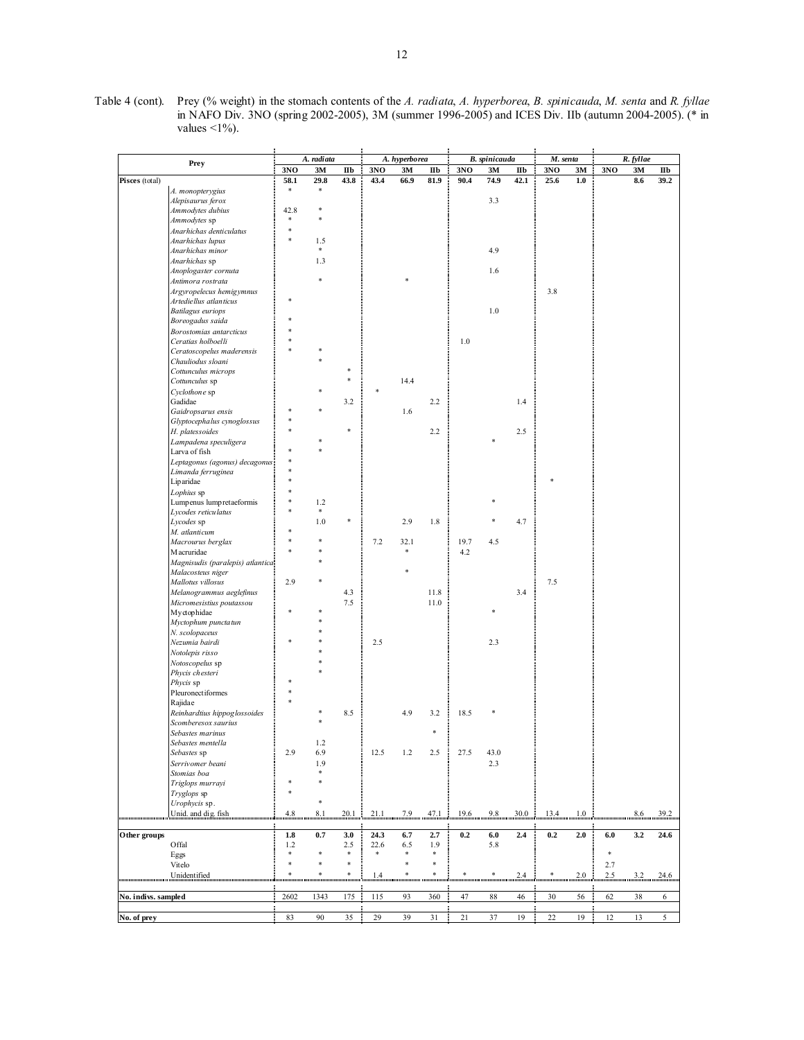| Table 4 (cont). Prey (% weight) in the stomach contents of the A. radiata, A. hyperborea, B. spinicauda, M. senta and R. fyllae |
|---------------------------------------------------------------------------------------------------------------------------------|
| in NAFO Div. 3NO (spring 2002-2005), 3M (summer 1996-2005) and ICES Div. IIb (autumn 2004-2005). (* in                          |
| values $\leq$ 1\%).                                                                                                             |

|                          | Prey                                                                                                                                                                                                                                                                                                                                                                                                                                                                                                                                                                                                                                              |               | A. radiata    |            |        | A. hyperborea |                          | B. spinicauda |         |              | M. senta                                                   |         | R. fyllae |     |              |
|--------------------------|---------------------------------------------------------------------------------------------------------------------------------------------------------------------------------------------------------------------------------------------------------------------------------------------------------------------------------------------------------------------------------------------------------------------------------------------------------------------------------------------------------------------------------------------------------------------------------------------------------------------------------------------------|---------------|---------------|------------|--------|---------------|--------------------------|---------------|---------|--------------|------------------------------------------------------------|---------|-----------|-----|--------------|
|                          |                                                                                                                                                                                                                                                                                                                                                                                                                                                                                                                                                                                                                                                   | 3NO           | 3M            | $I\!I\!I$  | 3NO    | 3M            | $\mathbf{II} \mathbf{b}$ | 3NO           | 3M      | $I\!I\!I\!b$ | 3NO                                                        | 3M      | 3NO       | 3M  | $I\!I\!I\!b$ |
| Pisces (total)           |                                                                                                                                                                                                                                                                                                                                                                                                                                                                                                                                                                                                                                                   | 58.1          | 29.8          | 43.8       | 43.4   | 66.9          | 81.9                     | 90.4          | 74.9    | 42.1         | 25.6                                                       | 1.0     |           | 8.6 | 39.2         |
|                          | A. monopterygius                                                                                                                                                                                                                                                                                                                                                                                                                                                                                                                                                                                                                                  | $\ast$        | $\ast$        |            |        |               |                          |               |         |              |                                                            |         |           |     |              |
|                          | Alepisaurus ferox                                                                                                                                                                                                                                                                                                                                                                                                                                                                                                                                                                                                                                 |               |               |            |        |               |                          |               | 3.3     |              |                                                            |         |           |     |              |
|                          | Ammodytes dubius                                                                                                                                                                                                                                                                                                                                                                                                                                                                                                                                                                                                                                  | 42.8<br>×     | *<br>×.       |            |        |               |                          |               |         |              |                                                            |         |           |     |              |
|                          | Ammodytes sp                                                                                                                                                                                                                                                                                                                                                                                                                                                                                                                                                                                                                                      | $\frac{1}{2}$ |               |            |        |               |                          |               |         |              |                                                            |         |           |     |              |
|                          | Anarhichas denticulatus                                                                                                                                                                                                                                                                                                                                                                                                                                                                                                                                                                                                                           |               |               |            |        |               |                          |               |         |              |                                                            |         |           |     |              |
|                          | Anarhichas lupus                                                                                                                                                                                                                                                                                                                                                                                                                                                                                                                                                                                                                                  |               | 1.5<br>$\ast$ |            |        |               |                          |               | 4.9     |              |                                                            |         |           |     |              |
|                          | Anarhichas minor<br>Anarhichas sp                                                                                                                                                                                                                                                                                                                                                                                                                                                                                                                                                                                                                 |               | 1.3           |            |        |               |                          |               |         |              |                                                            |         |           |     |              |
|                          | Anoplogaster cornuta                                                                                                                                                                                                                                                                                                                                                                                                                                                                                                                                                                                                                              |               |               |            |        |               |                          |               | 1.6     |              |                                                            |         |           |     |              |
|                          | Antimora rostrata                                                                                                                                                                                                                                                                                                                                                                                                                                                                                                                                                                                                                                 |               |               |            |        |               |                          |               |         |              |                                                            |         |           |     |              |
|                          | Argyropelecus hemigymnus                                                                                                                                                                                                                                                                                                                                                                                                                                                                                                                                                                                                                          |               |               |            |        |               |                          |               |         |              | 3.8                                                        |         |           |     |              |
|                          | Artediellus atlanticus                                                                                                                                                                                                                                                                                                                                                                                                                                                                                                                                                                                                                            |               |               |            |        |               |                          |               |         |              |                                                            |         |           |     |              |
|                          | <b>Batilagus</b> euriops                                                                                                                                                                                                                                                                                                                                                                                                                                                                                                                                                                                                                          |               |               |            |        |               |                          |               | 1.0     |              |                                                            |         |           |     |              |
|                          | Boreogadus saida                                                                                                                                                                                                                                                                                                                                                                                                                                                                                                                                                                                                                                  |               |               |            |        |               |                          |               |         |              |                                                            |         |           |     |              |
|                          | Borostomias antarcticus                                                                                                                                                                                                                                                                                                                                                                                                                                                                                                                                                                                                                           |               |               |            |        |               |                          |               |         |              |                                                            |         |           |     |              |
|                          | Ceratias holboelli                                                                                                                                                                                                                                                                                                                                                                                                                                                                                                                                                                                                                                |               |               |            |        |               |                          | 1.0           |         |              |                                                            |         |           |     |              |
|                          | Ceratoscopelus maderensis                                                                                                                                                                                                                                                                                                                                                                                                                                                                                                                                                                                                                         |               |               |            |        |               |                          |               |         |              |                                                            |         |           |     |              |
|                          | Chauliodus sloani                                                                                                                                                                                                                                                                                                                                                                                                                                                                                                                                                                                                                                 |               |               |            |        |               |                          |               |         |              |                                                            |         |           |     |              |
|                          | Cottunculus microps                                                                                                                                                                                                                                                                                                                                                                                                                                                                                                                                                                                                                               |               |               | 净<br>×     |        |               |                          |               |         |              |                                                            |         |           |     |              |
|                          | Cottunculus sp                                                                                                                                                                                                                                                                                                                                                                                                                                                                                                                                                                                                                                    |               |               |            |        | 14.4          |                          |               |         |              |                                                            |         |           |     |              |
|                          | Cyclothone sp                                                                                                                                                                                                                                                                                                                                                                                                                                                                                                                                                                                                                                     |               |               |            |        |               |                          |               |         |              |                                                            |         |           |     |              |
|                          | Gadidae                                                                                                                                                                                                                                                                                                                                                                                                                                                                                                                                                                                                                                           |               |               | 3.2        |        | 1.6           | 2.2                      |               |         | 1.4          |                                                            |         |           |     |              |
|                          | Gaidropsarus ensis<br>Glyptocephalus cynoglossus                                                                                                                                                                                                                                                                                                                                                                                                                                                                                                                                                                                                  |               |               |            |        |               |                          |               |         |              |                                                            |         |           |     |              |
|                          | H. platessoides                                                                                                                                                                                                                                                                                                                                                                                                                                                                                                                                                                                                                                   |               |               |            |        |               | 2.2                      |               |         | 2.5          |                                                            |         |           |     |              |
|                          | Lampadena speculigera                                                                                                                                                                                                                                                                                                                                                                                                                                                                                                                                                                                                                             |               |               |            |        |               |                          |               |         |              |                                                            |         |           |     |              |
|                          | Larva of fish                                                                                                                                                                                                                                                                                                                                                                                                                                                                                                                                                                                                                                     |               |               |            |        |               |                          |               |         |              |                                                            |         |           |     |              |
|                          | Leptagonus (agonus) decagonus:                                                                                                                                                                                                                                                                                                                                                                                                                                                                                                                                                                                                                    |               |               |            |        |               |                          |               |         |              |                                                            |         |           |     |              |
|                          | Limanda ferruginea                                                                                                                                                                                                                                                                                                                                                                                                                                                                                                                                                                                                                                |               |               |            |        |               |                          |               |         |              |                                                            |         |           |     |              |
|                          | Liparidae                                                                                                                                                                                                                                                                                                                                                                                                                                                                                                                                                                                                                                         |               |               |            |        |               |                          |               |         |              |                                                            |         |           |     |              |
|                          | Lophius sp                                                                                                                                                                                                                                                                                                                                                                                                                                                                                                                                                                                                                                        |               |               |            |        |               |                          |               |         |              |                                                            |         |           |     |              |
|                          | Lumpenus lumpretaeformis                                                                                                                                                                                                                                                                                                                                                                                                                                                                                                                                                                                                                          |               | 1.2           |            |        |               |                          |               |         |              |                                                            |         |           |     |              |
|                          | Lycodes reticulatus                                                                                                                                                                                                                                                                                                                                                                                                                                                                                                                                                                                                                               |               | $\ast$        |            |        |               |                          |               |         |              |                                                            |         |           |     |              |
|                          | Lycodes sp                                                                                                                                                                                                                                                                                                                                                                                                                                                                                                                                                                                                                                        |               | 1.0           |            |        | 2.9           | 1.8                      |               |         | 4.7          |                                                            |         |           |     |              |
|                          | M. atlanticum                                                                                                                                                                                                                                                                                                                                                                                                                                                                                                                                                                                                                                     |               |               |            |        |               |                          |               |         |              |                                                            |         |           |     |              |
|                          | Macrourus berglax                                                                                                                                                                                                                                                                                                                                                                                                                                                                                                                                                                                                                                 |               |               |            | 7.2    | 32.1          |                          | 19.7          | 4.5     |              |                                                            |         |           |     |              |
|                          | Macruridae                                                                                                                                                                                                                                                                                                                                                                                                                                                                                                                                                                                                                                        |               |               |            |        | *             |                          | 4.2           |         |              |                                                            |         |           |     |              |
|                          | Magnisudis (paralepis) atlantica                                                                                                                                                                                                                                                                                                                                                                                                                                                                                                                                                                                                                  |               |               |            |        |               |                          |               |         |              |                                                            |         |           |     |              |
|                          | Malacosteus niger                                                                                                                                                                                                                                                                                                                                                                                                                                                                                                                                                                                                                                 |               |               |            |        |               |                          |               |         |              |                                                            |         |           |     |              |
|                          | Mallotus villosus                                                                                                                                                                                                                                                                                                                                                                                                                                                                                                                                                                                                                                 | 2.9           |               |            |        |               |                          |               |         |              | 7.5                                                        |         |           |     |              |
|                          | Melanogrammus aeglefinus                                                                                                                                                                                                                                                                                                                                                                                                                                                                                                                                                                                                                          |               |               | 4.3<br>7.5 |        |               | 11.8<br>11.0             |               |         | 3.4          |                                                            |         |           |     |              |
|                          | Micromesistius poutassou<br>Myctophidae                                                                                                                                                                                                                                                                                                                                                                                                                                                                                                                                                                                                           |               |               |            |        |               |                          |               | ×.      |              |                                                            |         |           |     |              |
|                          | Myctophum punctatun                                                                                                                                                                                                                                                                                                                                                                                                                                                                                                                                                                                                                               |               |               |            |        |               |                          |               |         |              |                                                            |         |           |     |              |
|                          | N. scolopaceus                                                                                                                                                                                                                                                                                                                                                                                                                                                                                                                                                                                                                                    |               |               |            |        |               |                          |               |         |              |                                                            |         |           |     |              |
|                          | Nezumia bairdi                                                                                                                                                                                                                                                                                                                                                                                                                                                                                                                                                                                                                                    |               |               |            | 2.5    |               |                          |               | 2.3     |              |                                                            |         |           |     |              |
|                          | Notolepis risso                                                                                                                                                                                                                                                                                                                                                                                                                                                                                                                                                                                                                                   |               |               |            |        |               |                          |               |         |              |                                                            |         |           |     |              |
|                          | Notoscopelus sp                                                                                                                                                                                                                                                                                                                                                                                                                                                                                                                                                                                                                                   |               |               |            |        |               |                          |               |         |              |                                                            |         |           |     |              |
|                          | Phycis chesteri                                                                                                                                                                                                                                                                                                                                                                                                                                                                                                                                                                                                                                   |               |               |            |        |               |                          |               |         |              |                                                            |         |           |     |              |
|                          | Phycis sp                                                                                                                                                                                                                                                                                                                                                                                                                                                                                                                                                                                                                                         |               |               |            |        |               |                          |               |         |              |                                                            |         |           |     |              |
|                          | Pleuronectiformes                                                                                                                                                                                                                                                                                                                                                                                                                                                                                                                                                                                                                                 |               |               |            |        |               |                          |               |         |              |                                                            |         |           |     |              |
|                          | Rajidae                                                                                                                                                                                                                                                                                                                                                                                                                                                                                                                                                                                                                                           |               |               |            |        |               |                          |               |         |              |                                                            |         |           |     |              |
|                          | Reinhardtius hippoglossoides                                                                                                                                                                                                                                                                                                                                                                                                                                                                                                                                                                                                                      |               |               | 8.5        |        | 4.9           | 3.2                      | 18.5          |         |              |                                                            |         |           |     |              |
|                          | Scomberesox saurius                                                                                                                                                                                                                                                                                                                                                                                                                                                                                                                                                                                                                               |               |               |            |        |               |                          |               |         |              |                                                            |         |           |     |              |
|                          | Sebastes marinus                                                                                                                                                                                                                                                                                                                                                                                                                                                                                                                                                                                                                                  |               |               |            |        |               | ÷                        |               |         |              |                                                            |         |           |     |              |
|                          | Sebastes mentella                                                                                                                                                                                                                                                                                                                                                                                                                                                                                                                                                                                                                                 |               | 1.2           |            |        |               |                          |               |         |              |                                                            |         |           |     |              |
|                          | Sebastes sp                                                                                                                                                                                                                                                                                                                                                                                                                                                                                                                                                                                                                                       | 2.9           | 6.9           |            | 12.5   | 1.2           | 2.5                      | 27.5          | 43.0    |              |                                                            |         |           |     |              |
|                          | Serrivomer beani                                                                                                                                                                                                                                                                                                                                                                                                                                                                                                                                                                                                                                  |               | 1.9<br>$\ast$ |            |        |               |                          |               | 2.3     |              |                                                            |         |           |     |              |
|                          | Stomias boa                                                                                                                                                                                                                                                                                                                                                                                                                                                                                                                                                                                                                                       |               |               |            |        |               |                          |               |         |              |                                                            |         |           |     |              |
|                          | Triglops murrayi                                                                                                                                                                                                                                                                                                                                                                                                                                                                                                                                                                                                                                  |               |               |            |        |               |                          |               |         |              |                                                            |         |           |     |              |
|                          | Tryglops sp<br>Urophycis sp.                                                                                                                                                                                                                                                                                                                                                                                                                                                                                                                                                                                                                      |               | $\ast$        |            |        |               |                          |               |         |              |                                                            |         |           |     |              |
|                          | Unid. and dig. fish                                                                                                                                                                                                                                                                                                                                                                                                                                                                                                                                                                                                                               |               |               |            |        |               |                          |               | 9.8     | 30.0         |                                                            |         |           |     |              |
| ,,,,,,,,,,,,,,,,,,,,,,,, |                                                                                                                                                                                                                                                                                                                                                                                                                                                                                                                                                                                                                                                   | 4.8           | 8.1           | 20.1       | 21.1   | 7.9           | 47.1                     | 19.6          |         |              | 13.4                                                       | 1.0     |           | 8.6 | 39.2         |
| Other groups             |                                                                                                                                                                                                                                                                                                                                                                                                                                                                                                                                                                                                                                                   | 1.8           | 0.7           | 3.0        | 24.3   | 6.7           | 2.7                      | 0.2           | $6.0\,$ | 2.4          | 0.2                                                        | 2.0     | 6.0       | 3.2 | 24.6         |
|                          | Offal                                                                                                                                                                                                                                                                                                                                                                                                                                                                                                                                                                                                                                             | 1.2           |               | 2.5        | 22.6   | 6.5           | 1.9                      |               | 5.8     |              |                                                            |         |           |     |              |
|                          | Eggs                                                                                                                                                                                                                                                                                                                                                                                                                                                                                                                                                                                                                                              | 净             |               | $\ast$     | $\ast$ | *             | $\ast$                   |               |         |              |                                                            |         | *         |     |              |
|                          | Vitelo                                                                                                                                                                                                                                                                                                                                                                                                                                                                                                                                                                                                                                            | $\frac{1}{2}$ | *             | *          |        | *             | ÷                        |               |         |              |                                                            |         | 2.7       |     |              |
|                          | $\text{Unidentified} \\\text{minimum} \\\text{maximum} \\\text{maximum} \\\text{maximum} \\\text{maximum} \\\text{maximum} \\\text{maximum} \\\text{maximum} \\\text{maximum} \\\text{maximum} \\\text{maximum} \\\text{maximum} \\\text{maximum} \\\text{maximum} \\\text{maximum} \\\text{maximum} \\\text{maximum} \\\text{maximum} \\\text{maximum} \\\text{maximum} \\\text{maximum} \\\text{maximum} \\\text{maximum} \\\text{maximum} \\\text{maximum} \\\text{maximum} \\\text{maximum} \\\text{minimum} \\\text{maximum} \\\text{maximum} \\\text{maximum} \\\text{maximum} \\\text{maximum} \\\text{minimum} \\\text{minimum} \\\text{$ |               |               |            |        |               |                          |               |         |              | $24 \longrightarrow 20$ . $25 \longrightarrow 32$ . $32$ . |         |           |     | 24.6         |
|                          |                                                                                                                                                                                                                                                                                                                                                                                                                                                                                                                                                                                                                                                   |               |               |            |        |               |                          |               |         |              |                                                            |         |           |     |              |
| No. indivs. sampled      |                                                                                                                                                                                                                                                                                                                                                                                                                                                                                                                                                                                                                                                   | 2602          | 1343          | 175        | 115    | 93            | 360                      | 47            | 88      | 46           | 30                                                         | 56      | 62        | 38  | 6            |
|                          |                                                                                                                                                                                                                                                                                                                                                                                                                                                                                                                                                                                                                                                   |               |               |            |        |               |                          |               |         |              |                                                            |         |           |     |              |
| No. of prey              |                                                                                                                                                                                                                                                                                                                                                                                                                                                                                                                                                                                                                                                   | 83            | 90            | 35<br>÷    | 29     | 39            | 31                       | 21            | 37      | 19<br>÷      | 22                                                         | 19<br>÷ | 12        | 13  | 5            |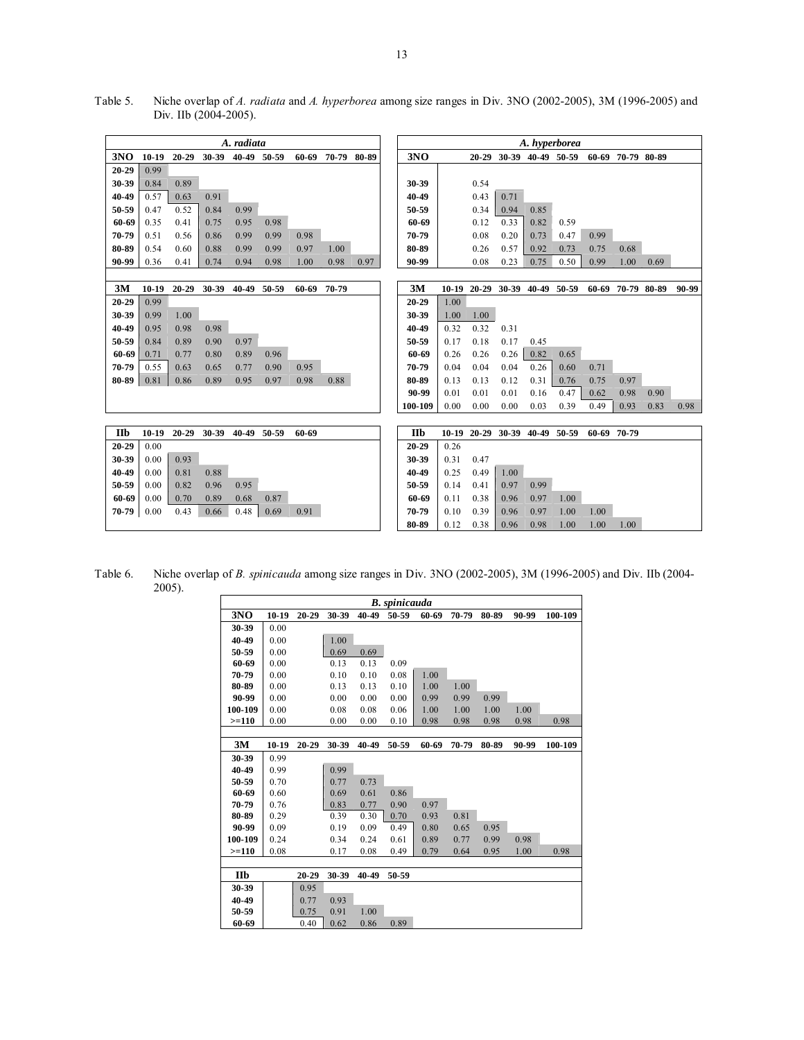Table 5. Niche overlap of *A. radiata* and *A. hyperborea* among size ranges in Div. 3NO (2002-2005), 3M (1996-2005) and Div. IIb (2004-2005).

|                     | A. radiata      |           |           |                   |             |             |                   |      | A. hyperborea |                  |      |      |      |      |                               |      |                   |                   |       |
|---------------------|-----------------|-----------|-----------|-------------------|-------------|-------------|-------------------|------|---------------|------------------|------|------|------|------|-------------------------------|------|-------------------|-------------------|-------|
| 3NO                 | $10-19$         | $20 - 29$ |           | 30-39 40-49 50-59 |             |             | 60-69 70-79 80-89 |      |               | 3NO              |      |      |      |      | 20-29 30-39 40-49 50-59       |      | 60-69 70-79 80-89 |                   |       |
| 20-29               | 0.99            |           |           |                   |             |             |                   |      |               |                  |      |      |      |      |                               |      |                   |                   |       |
| 30-39               | 0.84            | 0.89      |           |                   |             |             |                   |      |               | 30-39            |      | 0.54 |      |      |                               |      |                   |                   |       |
| 40-49               | 0.57            | 0.63      | 0.91      |                   |             |             |                   |      |               | 40-49            |      | 0.43 | 0.71 |      |                               |      |                   |                   |       |
| 50-59               | 0.47            | 0.52      | 0.84      | 0.99              |             |             |                   |      |               | 50-59            |      | 0.34 | 0.94 | 0.85 |                               |      |                   |                   |       |
| 60-69               | 0.35            | 0.41      | 0.75      | 0.95              | 0.98        |             |                   |      |               | 60-69            |      | 0.12 | 0.33 | 0.82 | 0.59                          |      |                   |                   |       |
| 70-79               | 0.51            | 0.56      | 0.86      | 0.99              | 0.99        | 0.98        |                   |      |               | 70-79            |      | 0.08 | 0.20 | 0.73 | 0.47                          | 0.99 |                   |                   |       |
| 80-89               | 0.54            | 0.60      | 0.88      | 0.99              | 0.99        | 0.97        | 1.00              |      |               | 80-89            |      | 0.26 | 0.57 | 0.92 | 0.73                          | 0.75 | 0.68              |                   |       |
| 90-99               | 0.36            | 0.41      | 0.74      | 0.94              | 0.98        | 1.00        | 0.98              | 0.97 |               | 90-99            |      | 0.08 | 0.23 | 0.75 | 0.50                          | 0.99 | 1.00              | 0.69              |       |
|                     |                 |           |           |                   |             |             |                   |      |               |                  |      |      |      |      |                               |      |                   |                   |       |
| 3M                  | $10-19$         | $20 - 29$ | $30 - 39$ |                   | 40-49 50-59 | 60-69 70-79 |                   |      |               | 3M               |      |      |      |      | 10-19 20-29 30-39 40-49 50-59 |      |                   | 60-69 70-79 80-89 | 90-99 |
| 20-29               | 0.99            |           |           |                   |             |             |                   |      |               | 20-29            | 1.00 |      |      |      |                               |      |                   |                   |       |
| 30-39               | 0.99            | 1.00      |           |                   |             |             |                   |      |               | 30-39            | 1.00 | 1.00 |      |      |                               |      |                   |                   |       |
| 40-49               | 0.95            | 0.98      | 0.98      |                   |             |             |                   |      |               | 40-49            | 0.32 | 0.32 | 0.31 |      |                               |      |                   |                   |       |
| 50-59               | 0.84            | 0.89      | 0.90      | 0.97              |             |             |                   |      |               | 50-59            | 0.17 | 0.18 | 0.17 | 0.45 |                               |      |                   |                   |       |
| 60-69               | 0.71            | 0.77      | 0.80      | 0.89              | 0.96        |             |                   |      |               | 60-69            | 0.26 | 0.26 | 0.26 | 0.82 | 0.65                          |      |                   |                   |       |
| 70-79               | 0.55            | 0.63      | 0.65      | 0.77              | 0.90        | 0.95        |                   |      |               | 70-79            | 0.04 | 0.04 | 0.04 | 0.26 | 0.60                          | 0.71 |                   |                   |       |
| 80-89               | 0.81            | 0.86      | 0.89      | 0.95              | 0.97        | 0.98        | 0.88              |      |               | 80-89            | 0.13 | 0.13 | 0.12 | 0.31 | 0.76                          | 0.75 | 0.97              |                   |       |
|                     |                 |           |           |                   |             |             |                   |      |               | 90-99            | 0.01 | 0.01 | 0.01 | 0.16 | 0.47                          | 0.62 | 0.98              | 0.90              |       |
|                     |                 |           |           |                   |             |             |                   |      |               | 100-109          | 0.00 | 0.00 | 0.00 | 0.03 | 0.39                          | 0.49 | 0.93              | 0.83              | 0.98  |
|                     |                 |           |           |                   |             |             |                   |      |               |                  |      |      |      |      |                               |      |                   |                   |       |
| <b>IIb</b><br>20-29 | $10-19$<br>0.00 | $20 - 29$ |           | 30-39 40-49 50-59 |             | 60-69       |                   |      |               | IIb<br>$20 - 29$ | 0.26 |      |      |      | 10-19 20-29 30-39 40-49 50-59 |      | 60-69 70-79       |                   |       |
| 30-39               | 0.00            | 0.93      |           |                   |             |             |                   |      |               | 30-39            | 0.31 | 0.47 |      |      |                               |      |                   |                   |       |
| 40-49               | 0.00            | 0.81      | 0.88      |                   |             |             |                   |      |               | 40-49            | 0.25 | 0.49 | 1.00 |      |                               |      |                   |                   |       |
| 50-59               | 0.00            | 0.82      | 0.96      | 0.95              |             |             |                   |      |               | 50-59            | 0.14 | 0.41 | 0.97 | 0.99 |                               |      |                   |                   |       |
| 60-69               | 0.00            | 0.70      | 0.89      | 0.68              | 0.87        |             |                   |      |               | 60-69            | 0.11 | 0.38 | 0.96 | 0.97 | 1.00                          |      |                   |                   |       |
| 70-79               | 0.00            | 0.43      | 0.66      | 0.48              | 0.69        | 0.91        |                   |      |               | 70-79            | 0.10 | 0.39 | 0.96 | 0.97 | 1.00                          | 1.00 |                   |                   |       |
|                     |                 |           |           |                   |             |             |                   |      |               | 80-89            | 0.12 | 0.38 | 0.96 | 0.98 | 1.00                          | 1.00 | 1.00              |                   |       |

Table 6. Niche overlap of *B. spinicauda* among size ranges in Div. 3NO (2002-2005), 3M (1996-2005) and Div. IIb (2004- 2005).

|         |         |           |       |       | <b>B.</b> spinicauda |       |       |       |       |         |
|---------|---------|-----------|-------|-------|----------------------|-------|-------|-------|-------|---------|
| 3NO     | $10-19$ | $20 - 29$ | 30-39 | 40-49 | 50-59                | 60-69 | 70-79 | 80-89 | 90-99 | 100-109 |
| 30-39   | 0.00    |           |       |       |                      |       |       |       |       |         |
| 40-49   | 0.00    |           | 1.00  |       |                      |       |       |       |       |         |
| 50-59   | 0.00    |           | 0.69  | 0.69  |                      |       |       |       |       |         |
| 60-69   | 0.00    |           | 0.13  | 0.13  | 0.09                 |       |       |       |       |         |
| 70-79   | 0.00    |           | 0.10  | 0.10  | 0.08                 | 1.00  |       |       |       |         |
| 80-89   | 0.00    |           | 0.13  | 0.13  | 0.10                 | 1.00  | 1.00  |       |       |         |
| 90-99   | 0.00    |           | 0.00  | 0.00  | 0.00                 | 0.99  | 0.99  | 0.99  |       |         |
| 100-109 | 0.00    |           | 0.08  | 0.08  | 0.06                 | 1.00  | 1.00  | 1.00  | 1.00  |         |
| $>=110$ | 0.00    |           | 0.00  | 0.00  | 0.10                 | 0.98  | 0.98  | 0.98  | 0.98  | 0.98    |
|         |         |           |       |       |                      |       |       |       |       |         |
| 3M      | $10-19$ | $20 - 29$ | 30-39 | 40-49 | 50-59                | 60-69 | 70-79 | 80-89 | 90-99 | 100-109 |
| 30-39   | 0.99    |           |       |       |                      |       |       |       |       |         |
| 40-49   | 0.99    |           | 0.99  |       |                      |       |       |       |       |         |
| 50-59   | 0.70    |           | 0.77  | 0.73  |                      |       |       |       |       |         |
| 60-69   | 0.60    |           | 0.69  | 0.61  | 0.86                 |       |       |       |       |         |
| 70-79   | 0.76    |           | 0.83  | 0.77  | 0.90                 | 0.97  |       |       |       |         |
| 80-89   | 0.29    |           | 0.39  | 0.30  | 0.70                 | 0.93  | 0.81  |       |       |         |
| 90-99   | 0.09    |           | 0.19  | 0.09  | 0.49                 | 0.80  | 0.65  | 0.95  |       |         |
| 100-109 | 0.24    |           | 0.34  | 0.24  | 0.61                 | 0.89  | 0.77  | 0.99  | 0.98  |         |
| $>=110$ | 0.08    |           | 0.17  | 0.08  | 0.49                 | 0.79  | 0.64  | 0.95  | 1.00  | 0.98    |
|         |         |           |       |       |                      |       |       |       |       |         |
| Шb      |         | $20 - 29$ | 30-39 | 40-49 | 50-59                |       |       |       |       |         |
| 30-39   |         | 0.95      |       |       |                      |       |       |       |       |         |
| 40-49   |         | 0.77      | 0.93  |       |                      |       |       |       |       |         |
| 50-59   |         | 0.75      | 0.91  | 1.00  |                      |       |       |       |       |         |
| 60-69   |         | 0.40      | 0.62  | 0.86  | 0.89                 |       |       |       |       |         |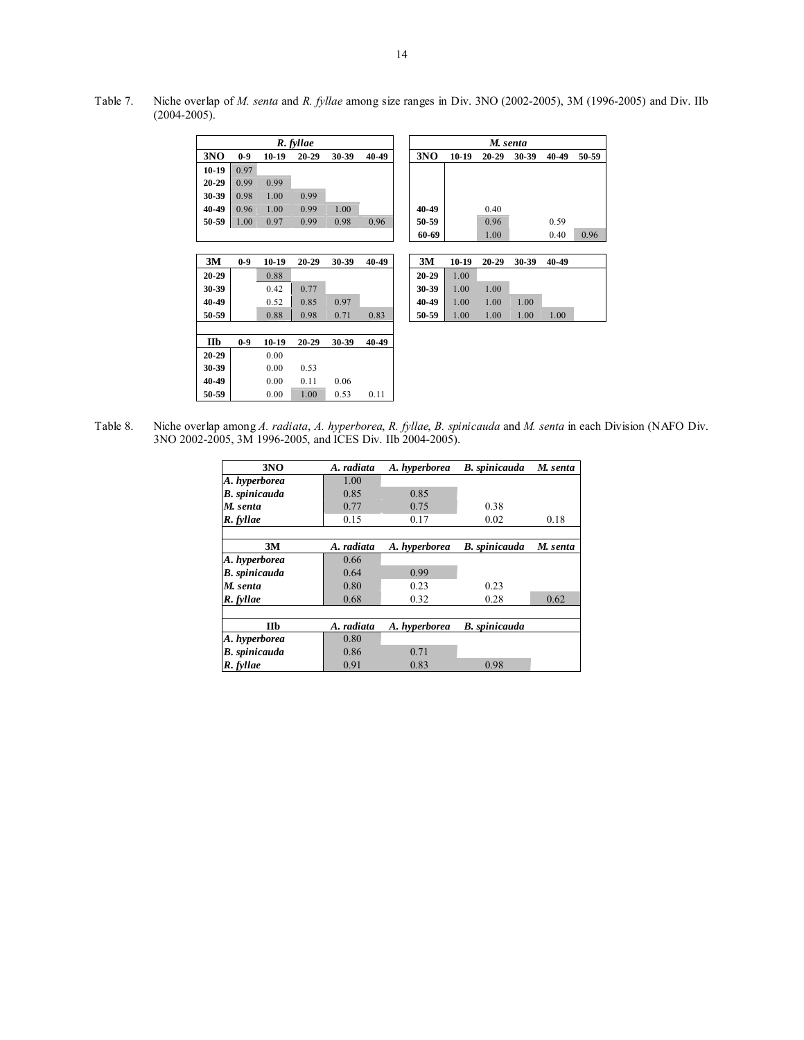Table 7. Niche overlap of *M. senta* and *R. fyllae* among size ranges in Div. 3NO (2002-2005), 3M (1996-2005) and Div. IIb (2004-2005).

|           | R. fyllae |         |           |       |       |  |  |  |  |
|-----------|-----------|---------|-----------|-------|-------|--|--|--|--|
| 3NO       | $0-9$     | $10-19$ | $20 - 29$ | 30-39 | 40-49 |  |  |  |  |
| $10-19$   | 0.97      |         |           |       |       |  |  |  |  |
| $20 - 29$ | 0.99      | 0.99    |           |       |       |  |  |  |  |
| 30-39     | 0.98      | 1.00    | 0.99      |       |       |  |  |  |  |
| 40-49     | 0.96      | 1.00    | 0.99      | 1.00  |       |  |  |  |  |
| 50-59     | 1.00      | 0.97    | 0.99      | 0.98  | 0.96  |  |  |  |  |
|           |           |         |           |       |       |  |  |  |  |
|           |           |         |           |       |       |  |  |  |  |
| 3M        | $0-9$     | $10-19$ | $20 - 29$ | 30-39 | 40-49 |  |  |  |  |
| $20 - 29$ |           | 0.88    |           |       |       |  |  |  |  |
| 30-39     |           | 0.42    | 0.77      |       |       |  |  |  |  |
| 40-49     |           | 0.52    | 0.85      | 0.97  |       |  |  |  |  |
| 50-59     |           | 0.88    | 0.98      | 0.71  | 0.83  |  |  |  |  |
|           |           |         |           |       |       |  |  |  |  |
| IIb       | $0-9$     | $10-19$ | $20 - 29$ | 30-39 | 40-49 |  |  |  |  |
| $20 - 29$ |           | 0.00    |           |       |       |  |  |  |  |
| 30-39     |           | 0.00    | 0.53      |       |       |  |  |  |  |
| 40-49     |           | 0.00    | 0.11      | 0.06  |       |  |  |  |  |
| 50-59     |           | 0.00    | 1.00      | 0.53  | 0.11  |  |  |  |  |

Table 8. Niche overlap among *A. radiata*, *A. hyperborea*, *R. fyllae*, *B. spinicauda* and *M. senta* in each Division (NAFO Div. 3NO 2002-2005, 3M 1996-2005, and ICES Div. IIb 2004-2005).

| 3NO                  | A. radiata | A. hyperborea | <b>B.</b> spinicauda | M. senta |
|----------------------|------------|---------------|----------------------|----------|
| A. hyperborea        | 1.00       |               |                      |          |
| <b>B.</b> spinicauda | 0.85       | 0.85          |                      |          |
| M. senta             | 0.77       | 0.75          | 0.38                 |          |
| R. fyllae            | 0.15       | 0.17          | 0.02                 | 0.18     |
|                      |            |               |                      |          |
| 3M                   | A. radiata | A. hyperborea | <b>B.</b> spinicauda | M. senta |
| A. hyperborea        | 0.66       |               |                      |          |
| <b>B.</b> spinicauda | 0.64       | 0.99          |                      |          |
| M. senta             | 0.80       | 0.23          | 0.23                 |          |
| R. fyllae            | 0.68       | 0.32          | 0.28                 | 0.62     |
|                      |            |               |                      |          |
| IIb                  | A. radiata | A. hyperborea | <b>B.</b> spinicauda |          |
| A. hyperborea        | 0.80       |               |                      |          |
| B. spinicauda        | 0.86       | 0.71          |                      |          |
| R. fyllae            | 0.91       | 0.83          | 0.98                 |          |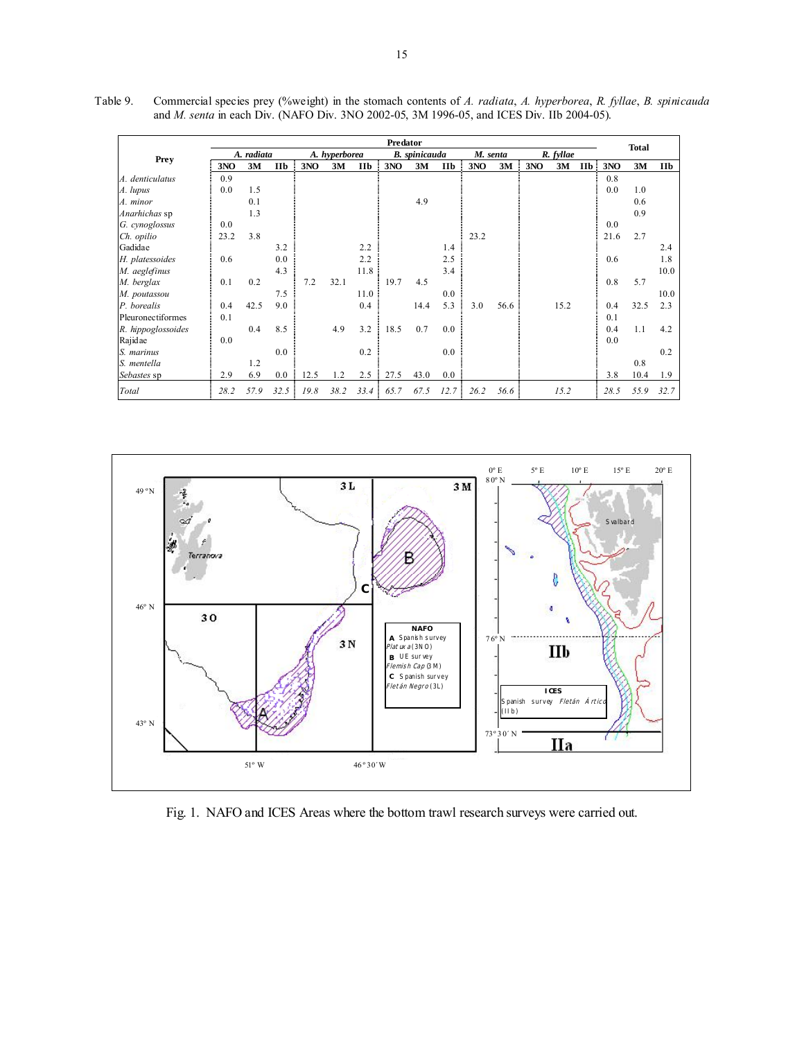|                    |      |            |      |      |               |            | Predator |                      |      |          |      |     |           |            |      | <b>Total</b> |            |
|--------------------|------|------------|------|------|---------------|------------|----------|----------------------|------|----------|------|-----|-----------|------------|------|--------------|------------|
|                    |      | A. radiata |      |      | A. hyperborea |            |          | <b>B.</b> spinicauda |      | M. senta |      |     | R. fyllae |            |      |              |            |
| <b>Prey</b>        | 3NO  | 3M         | IIb  | 3NO  | 3M            | <b>IIb</b> | 3NO      | 3M                   | IIb  | 3NO      | 3M   | 3NO | 3M        | <b>IIb</b> | 3NO  | 3M           | <b>IIb</b> |
| A. denticulatus    | 0.9  |            |      |      |               |            |          |                      |      |          |      |     |           |            | 0.8  |              |            |
| A. lupus           | 0.0  | 1.5        |      |      |               |            |          |                      |      |          |      |     |           |            | 0.0  | 1.0          |            |
| A. minor           |      | 0.1        |      |      |               |            |          | 4.9                  |      |          |      |     |           |            |      | 0.6          |            |
| Anarhichas sp      |      | 1.3        |      |      |               |            |          |                      |      |          |      |     |           |            |      | 0.9          |            |
| G. cynoglossus     | 0.0  |            |      |      |               |            |          |                      |      |          |      |     |           |            | 0.0  |              |            |
| Ch. opilio         | 23.2 | 3.8        |      |      |               |            |          |                      |      | 23.2     |      |     |           |            | 21.6 | 2.7          |            |
| Gadidae            |      |            | 3.2  |      |               | 2.2        |          |                      | 1.4  |          |      |     |           |            |      |              | 2.4        |
| H. platessoides    | 0.6  |            | 0.0  |      |               | 2.2        |          |                      | 2.5  |          |      |     |           |            | 0.6  |              | 1.8        |
| M. aeglefinus      |      |            | 4.3  |      |               | 11.8       |          |                      | 3.4  |          |      |     |           |            |      |              | 10.0       |
| M. berglax         | 0.1  | 0.2        |      | 7.2  | 32.1          |            | 19.7     | 4.5                  |      |          |      |     |           |            | 0.8  | 5.7          |            |
| M. poutassou       |      |            | 7.5  |      |               | 11.0       |          |                      | 0.0  |          |      |     |           |            |      |              | 10.0       |
| P. borealis        | 0.4  | 42.5       | 9.0  |      |               | 0.4        |          | 14.4                 | 5.3  | 3.0      | 56.6 |     | 15.2      |            | 0.4  | 32.5         | 2.3        |
| Pleuronectiformes  | 0.1  |            |      |      |               |            |          |                      |      |          |      |     |           |            | 0.1  |              |            |
| R. hippoglossoides |      | 0.4        | 8.5  |      | 4.9           | 3.2        | 18.5     | 0.7                  | 0.0  |          |      |     |           |            | 0.4  | 1.1          | 4.2        |
| Rajidae            | 0.0  |            |      |      |               |            |          |                      |      |          |      |     |           |            | 0.0  |              |            |
| S. marinus         |      |            | 0.0  |      |               | 0.2        |          |                      | 0.0  |          |      |     |           |            |      |              | 0.2        |
| S. mentella        |      | 1.2        |      |      |               |            |          |                      |      |          |      |     |           |            |      | 0.8          |            |
| Sebastes sp        | 2.9  | 6.9        | 0.0  | 12.5 | 1.2           | 2.5        | 27.5     | 43.0                 | 0.0  |          |      |     |           |            | 3.8  | 10.4         | 1.9        |
| Total              | 28.2 | 57.9       | 32.5 | 19.8 | 38.2          | 33.4       | 65.7     | 67.5                 | 12.7 | 26.2     | 56.6 |     | 15.2      |            | 28.5 | 55.9         | 32.7       |

Table 9. Commercial species prey (%weight) in the stomach contents of *A. radiata*, *A. hyperborea*, *R. fyllae*, *B. spinicauda* and *M. senta* in each Div. (NAFO Div. 3NO 2002-05, 3M 1996-05, and ICES Div. IIb 2004-05).



Fig. 1. NAFO and ICES Areas where the bottom trawl research surveys were carried out.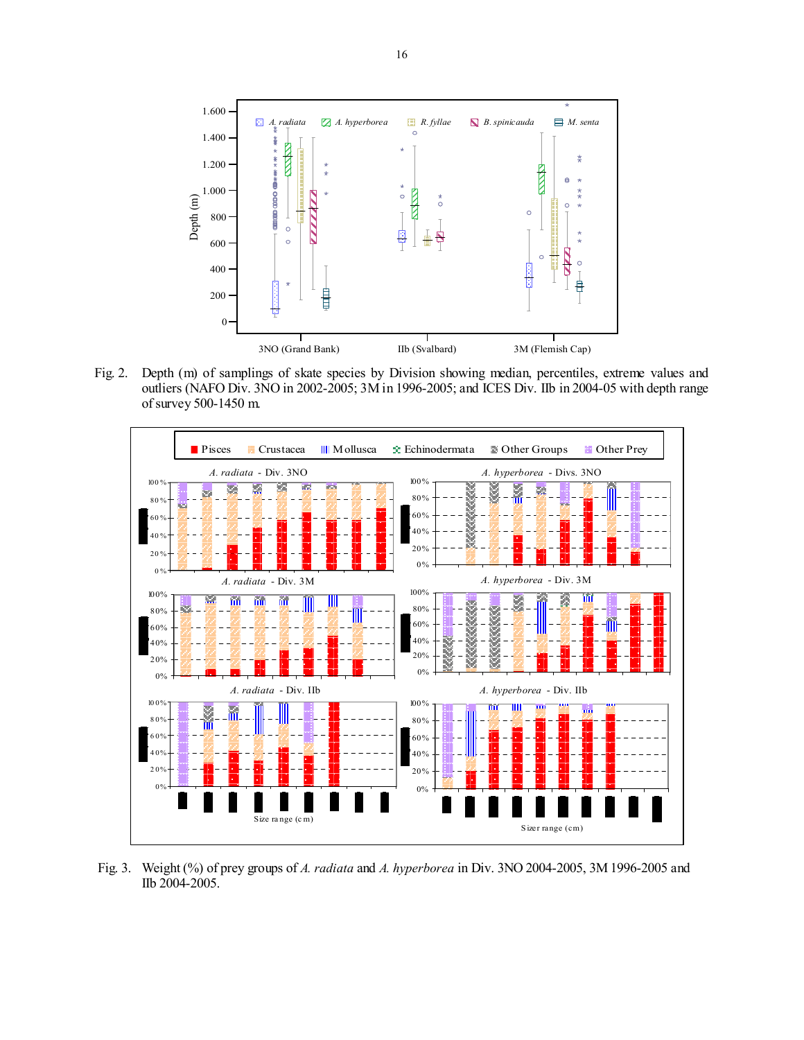

Fig. 2. Depth (m) of samplings of skate species by Division showing median, percentiles, extreme values and outliers (NAFO Div. 3NO in 2002-2005; 3M in 1996-2005; and ICES Div. IIb in 2004-05 with depth range of survey 500-1450 m.



 Fig. 3. Weight (%) of prey groups of *A. radiata* and *A. hyperborea* in Div. 3NO 2004-2005, 3M 1996-2005 and IIb 2004-2005.